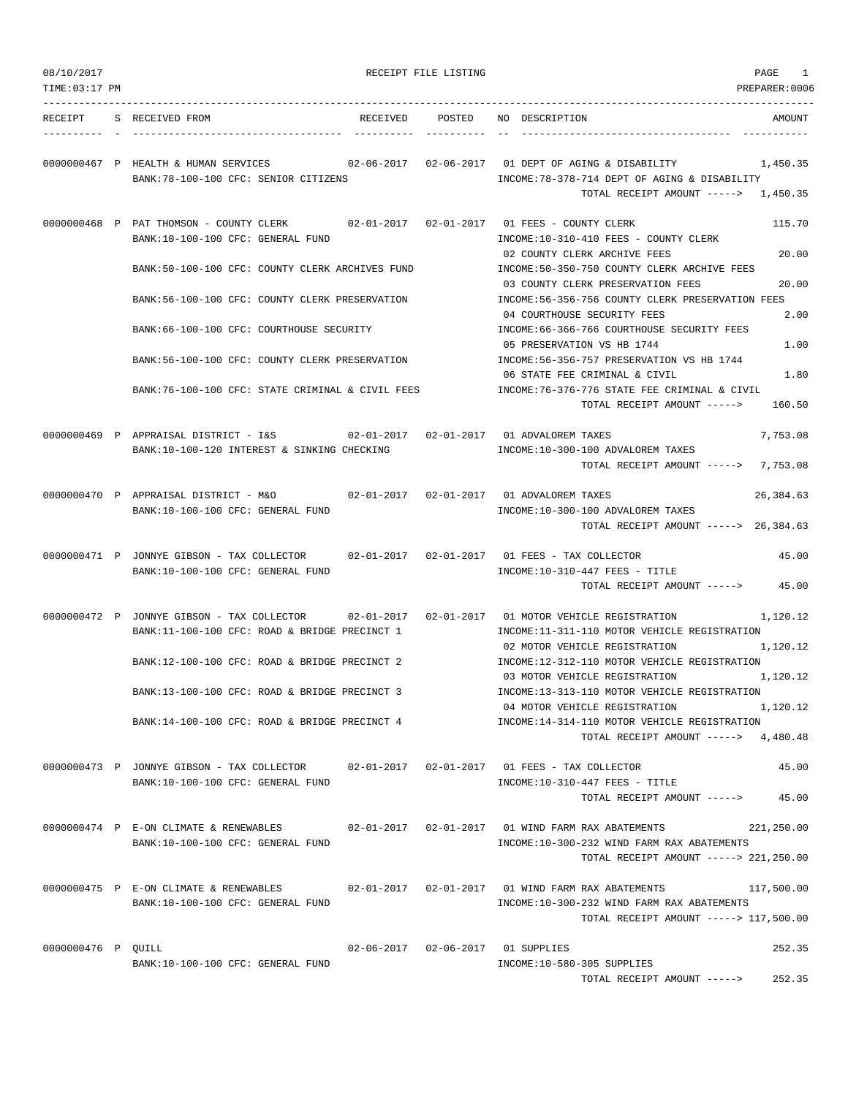| 08/10/2017         |                                                                                                                                | RECEIPT FILE LISTING | PAGE<br>1                                                                                                                                                        |
|--------------------|--------------------------------------------------------------------------------------------------------------------------------|----------------------|------------------------------------------------------------------------------------------------------------------------------------------------------------------|
| TIME: 03:17 PM     |                                                                                                                                |                      | PREPARER: 0006                                                                                                                                                   |
|                    | RECEIPT S RECEIVED FROM                                                                                                        |                      | RECEIVED POSTED NO DESCRIPTION<br>AMOUNT                                                                                                                         |
|                    | 0000000467 P HEALTH & HUMAN SERVICES<br>BANK:78-100-100 CFC: SENIOR CITIZENS                                                   |                      | $02-06-2017$ $02-06-2017$ 01 DEPT OF AGING & DISABILITY<br>1,450.35<br>INCOME:78-378-714 DEPT OF AGING & DISABILITY<br>TOTAL RECEIPT AMOUNT -----> 1,450.35      |
|                    | 0000000468 P PAT THOMSON - COUNTY CLERK<br>BANK:10-100-100 CFC: GENERAL FUND                                                   |                      | 115.70<br>INCOME:10-310-410 FEES - COUNTY CLERK                                                                                                                  |
|                    | BANK:50-100-100 CFC: COUNTY CLERK ARCHIVES FUND                                                                                |                      | 20.00<br>02 COUNTY CLERK ARCHIVE FEES<br>INCOME:50-350-750 COUNTY CLERK ARCHIVE FEES<br>20.00<br>03 COUNTY CLERK PRESERVATION FEES                               |
|                    | BANK:56-100-100 CFC: COUNTY CLERK PRESERVATION                                                                                 |                      | INCOME:56-356-756 COUNTY CLERK PRESERVATION FEES<br>2.00<br>04 COURTHOUSE SECURITY FEES                                                                          |
|                    | BANK:66-100-100 CFC: COURTHOUSE SECURITY                                                                                       |                      | INCOME: 66-366-766 COURTHOUSE SECURITY FEES<br>1.00<br>05 PRESERVATION VS HB 1744                                                                                |
|                    | BANK: 56-100-100 CFC: COUNTY CLERK PRESERVATION                                                                                |                      | INCOME: 56-356-757 PRESERVATION VS HB 1744<br>06 STATE FEE CRIMINAL & CIVIL<br>1.80                                                                              |
|                    | BANK:76-100-100 CFC: STATE CRIMINAL & CIVIL FEES                                                                               |                      | INCOME:76-376-776 STATE FEE CRIMINAL & CIVIL<br>TOTAL RECEIPT AMOUNT -----><br>160.50                                                                            |
|                    | 0000000469 P APPRAISAL DISTRICT - I&S<br>BANK:10-100-120 INTEREST & SINKING CHECKING                                           |                      | 7,753.08<br>INCOME:10-300-100 ADVALOREM TAXES<br>TOTAL RECEIPT AMOUNT -----> 7,753.08                                                                            |
|                    | 0000000470 P APPRAISAL DISTRICT - M&O<br>BANK:10-100-100 CFC: GENERAL FUND                                                     |                      | 02-01-2017  02-01-2017  01 ADVALOREM TAXES<br>26,384.63<br>INCOME:10-300-100 ADVALOREM TAXES<br>TOTAL RECEIPT AMOUNT -----> 26,384.63                            |
|                    | 0000000471 P JONNYE GIBSON - TAX COLLECTOR<br>BANK:10-100-100 CFC: GENERAL FUND                                                |                      | 02-01-2017  02-01-2017  01 FEES - TAX COLLECTOR<br>45.00<br>INCOME:10-310-447 FEES - TITLE<br>45.00<br>TOTAL RECEIPT AMOUNT ----->                               |
|                    | 0000000472 P JONNYE GIBSON - TAX COLLECTOR<br>BANK:11-100-100 CFC: ROAD & BRIDGE PRECINCT 1                                    |                      | 02-01-2017   02-01-2017   01 MOTOR VEHICLE REGISTRATION<br>1,120.12<br>INCOME:11-311-110 MOTOR VEHICLE REGISTRATION<br>02 MOTOR VEHICLE REGISTRATION<br>1,120.12 |
|                    | BANK:12-100-100 CFC: ROAD & BRIDGE PRECINCT 2<br>BANK:13-100-100 CFC: ROAD & BRIDGE PRECINCT 3                                 |                      | INCOME:12-312-110 MOTOR VEHICLE REGISTRATION<br>03 MOTOR VEHICLE REGISTRATION<br>1,120.12<br>INCOME:13-313-110 MOTOR VEHICLE REGISTRATION                        |
|                    | BANK:14-100-100 CFC: ROAD & BRIDGE PRECINCT 4                                                                                  |                      | 04 MOTOR VEHICLE REGISTRATION<br>1,120.12<br>INCOME:14-314-110 MOTOR VEHICLE REGISTRATION                                                                        |
|                    |                                                                                                                                |                      | TOTAL RECEIPT AMOUNT -----> 4,480.48                                                                                                                             |
|                    | 0000000473 P JONNYE GIBSON - TAX COLLECTOR 02-01-2017 02-01-2017 01 FEES - TAX COLLECTOR<br>BANK:10-100-100 CFC: GENERAL FUND  |                      | 45.00<br>$INCOME:10-310-447$ FEES - TITLE<br>45.00<br>TOTAL RECEIPT AMOUNT ----->                                                                                |
|                    | 0000000474 P E-ON CLIMATE & RENEWABLES<br>BANK:10-100-100 CFC: GENERAL FUND                                                    |                      | 02-01-2017  02-01-2017  01 WIND FARM RAX ABATEMENTS<br>221,250.00<br>INCOME:10-300-232 WIND FARM RAX ABATEMENTS<br>TOTAL RECEIPT AMOUNT -----> 221,250.00        |
|                    | 0000000475 P E-ON CLIMATE & RENEWABLES 602-01-2017 02-01-2017 01 WIND FARM RAX ABATEMENTS<br>BANK:10-100-100 CFC: GENERAL FUND |                      | 117,500.00<br>INCOME:10-300-232 WIND FARM RAX ABATEMENTS<br>TOTAL RECEIPT AMOUNT -----> 117,500.00                                                               |
| 0000000476 P QUILL | BANK:10-100-100 CFC: GENERAL FUND                                                                                              |                      | 252.35<br>02-06-2017  02-06-2017  01 SUPPLIES<br>INCOME:10-580-305 SUPPLIES<br>252.35<br>TOTAL RECEIPT AMOUNT ----->                                             |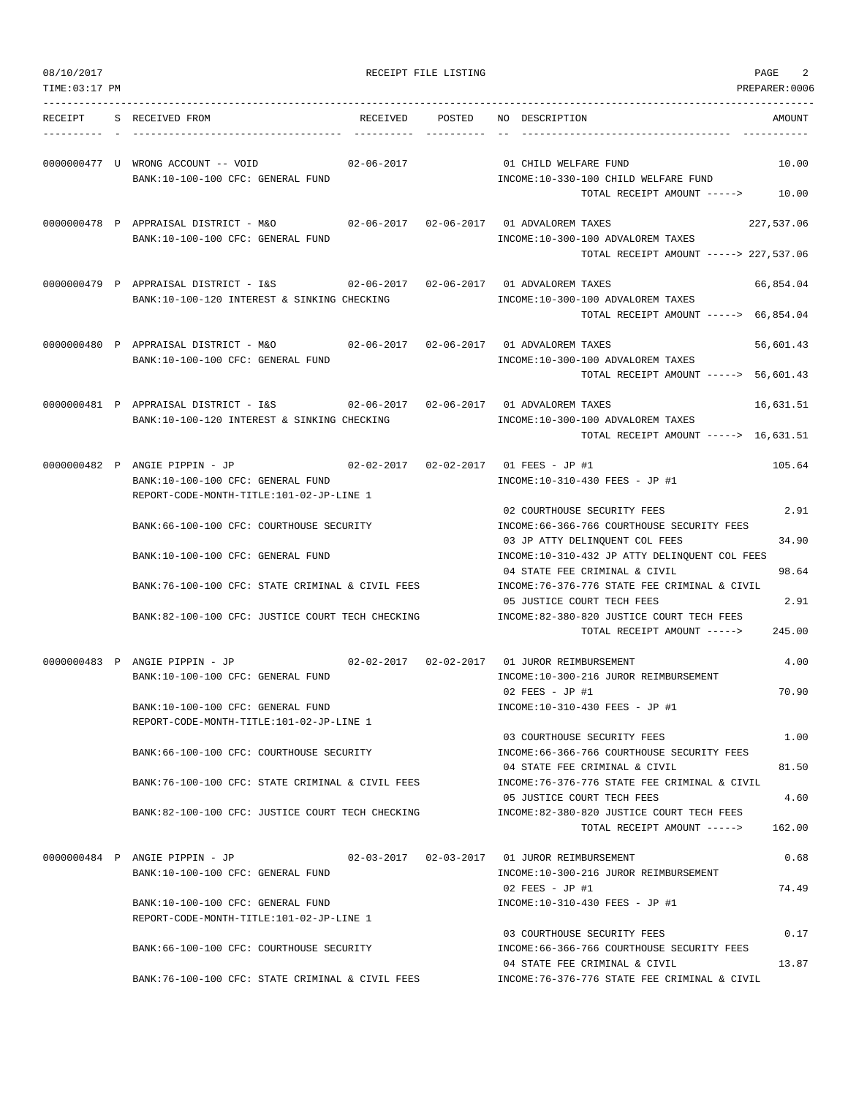| 08/10/2017     |                                                                                                                                                              | RECEIPT FILE LISTING |                                                                                                                  | PAGE<br>2      |
|----------------|--------------------------------------------------------------------------------------------------------------------------------------------------------------|----------------------|------------------------------------------------------------------------------------------------------------------|----------------|
| TIME: 03:17 PM |                                                                                                                                                              |                      |                                                                                                                  | PREPARER:0006  |
| RECEIPT        | S RECEIVED FROM                                                                                                                                              | RECEIVED POSTED      | NO DESCRIPTION                                                                                                   | AMOUNT         |
|                | 0000000477 U WRONG ACCOUNT -- VOID<br>02-06-2017<br>BANK:10-100-100 CFC: GENERAL FUND                                                                        |                      | 01 CHILD WELFARE FUND<br>INCOME:10-330-100 CHILD WELFARE FUND<br>TOTAL RECEIPT AMOUNT ----->                     | 10.00<br>10.00 |
|                | 0000000478 P APPRAISAL DISTRICT - M&O<br>BANK:10-100-100 CFC: GENERAL FUND                                                                                   |                      | INCOME:10-300-100 ADVALOREM TAXES                                                                                | 227,537.06     |
|                |                                                                                                                                                              |                      | TOTAL RECEIPT AMOUNT -----> 227,537.06                                                                           |                |
|                | 0000000479 P APPRAISAL DISTRICT - I&S 62-06-2017 02-06-2017 01 ADVALOREM TAXES<br>BANK:10-100-120 INTEREST & SINKING CHECKING                                |                      | INCOME:10-300-100 ADVALOREM TAXES<br>TOTAL RECEIPT AMOUNT -----> 66,854.04                                       | 66,854.04      |
|                |                                                                                                                                                              |                      |                                                                                                                  |                |
|                | 0000000480 P APPRAISAL DISTRICT - M&O<br>BANK:10-100-100 CFC: GENERAL FUND                                                                                   |                      | INCOME:10-300-100 ADVALOREM TAXES<br>TOTAL RECEIPT AMOUNT -----> 56,601.43                                       | 56,601.43      |
|                | 0000000481 P APPRAISAL DISTRICT - I&S 62-06-2017 02-06-2017 01 ADVALOREM TAXES<br>BANK:10-100-120 INTEREST & SINKING CHECKING                                |                      | INCOME:10-300-100 ADVALOREM TAXES                                                                                | 16,631.51      |
|                |                                                                                                                                                              |                      | TOTAL RECEIPT AMOUNT -----> 16,631.51                                                                            |                |
|                | 0000000482 P ANGIE PIPPIN - JP<br>$02-02-2017$ $02-02-2017$ 01 FEES - JP #1<br>BANK:10-100-100 CFC: GENERAL FUND<br>REPORT-CODE-MONTH-TITLE:101-02-JP-LINE 1 |                      | INCOME:10-310-430 FEES - JP #1                                                                                   | 105.64         |
|                | BANK:66-100-100 CFC: COURTHOUSE SECURITY                                                                                                                     |                      | 02 COURTHOUSE SECURITY FEES<br>INCOME: 66-366-766 COURTHOUSE SECURITY FEES                                       | 2.91           |
|                | BANK:10-100-100 CFC: GENERAL FUND                                                                                                                            |                      | 03 JP ATTY DELINQUENT COL FEES<br>INCOME:10-310-432 JP ATTY DELINQUENT COL FEES<br>04 STATE FEE CRIMINAL & CIVIL | 34.90<br>98.64 |
|                | BANK:76-100-100 CFC: STATE CRIMINAL & CIVIL FEES                                                                                                             |                      | INCOME: 76-376-776 STATE FEE CRIMINAL & CIVIL<br>05 JUSTICE COURT TECH FEES                                      | 2.91           |
|                | BANK:82-100-100 CFC: JUSTICE COURT TECH CHECKING                                                                                                             |                      | INCOME:82-380-820 JUSTICE COURT TECH FEES<br>TOTAL RECEIPT AMOUNT ----->                                         | 245.00         |
|                | 0000000483 P ANGIE PIPPIN - JP<br>BANK:10-100-100 CFC: GENERAL FUND                                                                                          |                      | 02-02-2017  02-02-2017  01 JUROR REIMBURSEMENT<br>INCOME:10-300-216 JUROR REIMBURSEMENT                          | 4.00           |
|                | BANK:10-100-100 CFC: GENERAL FUND<br>REPORT-CODE-MONTH-TITLE:101-02-JP-LINE 1                                                                                |                      | $02$ FEES - JP #1<br>INCOME:10-310-430 FEES - JP #1                                                              | 70.90          |
|                | BANK: 66-100-100 CFC: COURTHOUSE SECURITY                                                                                                                    |                      | 03 COURTHOUSE SECURITY FEES<br>INCOME:66-366-766 COURTHOUSE SECURITY FEES                                        | 1.00           |
|                | BANK:76-100-100 CFC: STATE CRIMINAL & CIVIL FEES                                                                                                             |                      | 04 STATE FEE CRIMINAL & CIVIL<br>INCOME: 76-376-776 STATE FEE CRIMINAL & CIVIL                                   | 81.50          |
|                | BANK:82-100-100 CFC: JUSTICE COURT TECH CHECKING                                                                                                             |                      | 05 JUSTICE COURT TECH FEES<br>INCOME:82-380-820 JUSTICE COURT TECH FEES<br>TOTAL RECEIPT AMOUNT ----->           | 4.60<br>162.00 |
|                | 0000000484 P ANGIE PIPPIN - JP                                                                                                                               |                      | 02-03-2017  02-03-2017  01 JUROR REIMBURSEMENT                                                                   | 0.68           |
|                | BANK:10-100-100 CFC: GENERAL FUND                                                                                                                            |                      | INCOME:10-300-216 JUROR REIMBURSEMENT<br>$02$ FEES - JP #1                                                       | 74.49          |
|                | BANK:10-100-100 CFC: GENERAL FUND<br>REPORT-CODE-MONTH-TITLE:101-02-JP-LINE 1                                                                                |                      | INCOME:10-310-430 FEES - JP #1                                                                                   |                |
|                | BANK:66-100-100 CFC: COURTHOUSE SECURITY                                                                                                                     |                      | 03 COURTHOUSE SECURITY FEES<br>INCOME:66-366-766 COURTHOUSE SECURITY FEES                                        | 0.17           |
|                | BANK:76-100-100 CFC: STATE CRIMINAL & CIVIL FEES                                                                                                             |                      | 04 STATE FEE CRIMINAL & CIVIL<br>INCOME: 76-376-776 STATE FEE CRIMINAL & CIVIL                                   | 13.87          |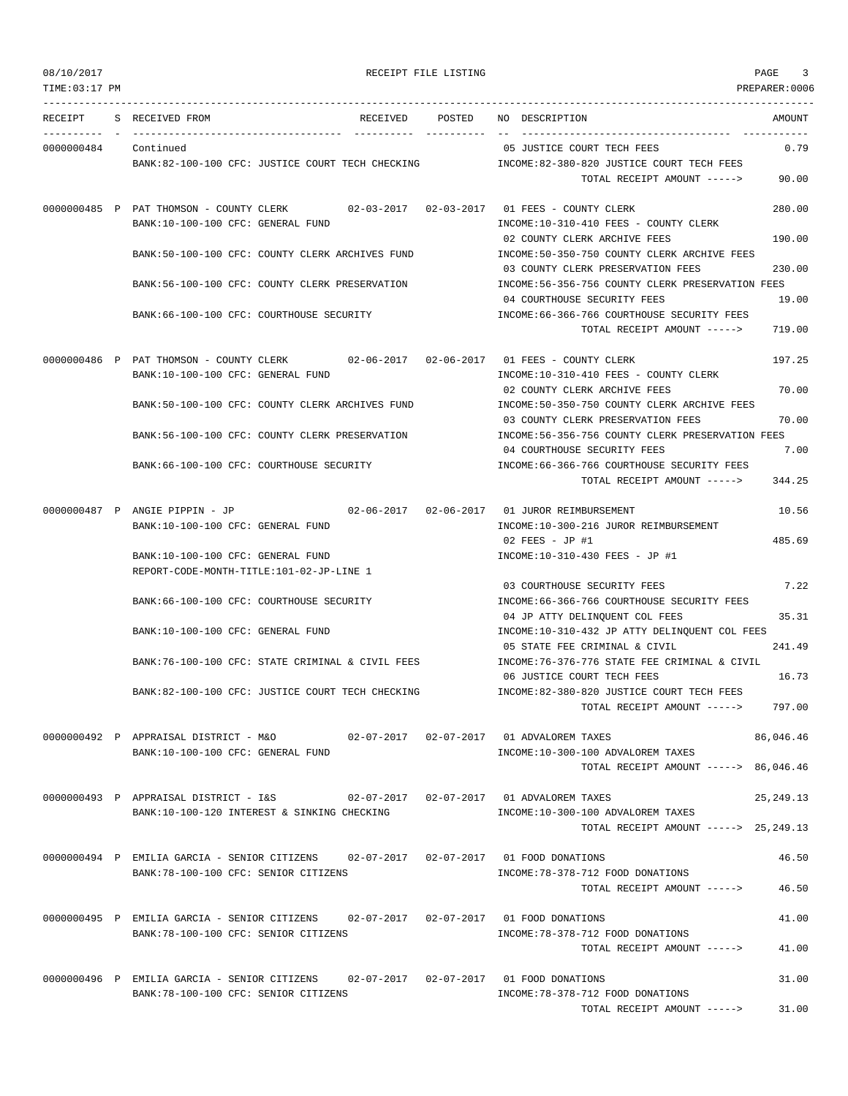| 08/10/2017<br>TIME: 03:17 PM |                                |                                                                                                                                                                                                                                   |                                   | RECEIPT FILE LISTING |                                                                                                                                                                                                                                                                                                                            | PAGE<br>3<br>PREPARER:0006       |
|------------------------------|--------------------------------|-----------------------------------------------------------------------------------------------------------------------------------------------------------------------------------------------------------------------------------|-----------------------------------|----------------------|----------------------------------------------------------------------------------------------------------------------------------------------------------------------------------------------------------------------------------------------------------------------------------------------------------------------------|----------------------------------|
|                              | RECEIPT S RECEIVED FROM        |                                                                                                                                                                                                                                   |                                   |                      | RECEIVED POSTED NO DESCRIPTION                                                                                                                                                                                                                                                                                             | AMOUNT                           |
| 0000000484                   | Continued                      | BANK:82-100-100 CFC: JUSTICE COURT TECH CHECKING                                                                                                                                                                                  |                                   |                      | 05 JUSTICE COURT TECH FEES<br>INCOME:82-380-820 JUSTICE COURT TECH FEES<br>TOTAL RECEIPT AMOUNT ----->                                                                                                                                                                                                                     | 0.79<br>90.00                    |
|                              |                                | BANK:10-100-100 CFC: GENERAL FUND<br>BANK:50-100-100 CFC: COUNTY CLERK ARCHIVES FUND                                                                                                                                              |                                   |                      | 0000000485 P PAT THOMSON - COUNTY CLERK 02-03-2017 02-03-2017 01 FEES - COUNTY CLERK<br>INCOME:10-310-410 FEES - COUNTY CLERK<br>02 COUNTY CLERK ARCHIVE FEES<br>INCOME: 50-350-750 COUNTY CLERK ARCHIVE FEES<br>03 COUNTY CLERK PRESERVATION FEES                                                                         | 280.00<br>190.00<br>230.00       |
|                              |                                | BANK:56-100-100 CFC: COUNTY CLERK PRESERVATION<br>BANK:66-100-100 CFC: COURTHOUSE SECURITY                                                                                                                                        |                                   |                      | INCOME:56-356-756 COUNTY CLERK PRESERVATION FEES<br>04 COURTHOUSE SECURITY FEES<br>INCOME: 66-366-766 COURTHOUSE SECURITY FEES<br>TOTAL RECEIPT AMOUNT ----->                                                                                                                                                              | 19.00<br>719.00                  |
|                              |                                | BANK:10-100-100 CFC: GENERAL FUND<br>BANK:50-100-100 CFC: COUNTY CLERK ARCHIVES FUND                                                                                                                                              |                                   |                      | 0000000486 P PAT THOMSON - COUNTY CLERK 02-06-2017 02-06-2017 01 FEES - COUNTY CLERK<br>INCOME:10-310-410 FEES - COUNTY CLERK<br>02 COUNTY CLERK ARCHIVE FEES<br>INCOME: 50-350-750 COUNTY CLERK ARCHIVE FEES                                                                                                              | 197.25<br>70.00                  |
|                              |                                | BANK:56-100-100 CFC: COUNTY CLERK PRESERVATION<br>BANK:66-100-100 CFC: COURTHOUSE SECURITY                                                                                                                                        |                                   |                      | 03 COUNTY CLERK PRESERVATION FEES<br>INCOME:56-356-756 COUNTY CLERK PRESERVATION FEES<br>04 COURTHOUSE SECURITY FEES<br>INCOME: 66-366-766 COURTHOUSE SECURITY FEES<br>TOTAL RECEIPT AMOUNT ----->                                                                                                                         | 70.00<br>7.00<br>344.25          |
|                              | 0000000487 P ANGIE PIPPIN - JP | BANK:10-100-100 CFC: GENERAL FUND<br>BANK:10-100-100 CFC: GENERAL FUND                                                                                                                                                            | $02 - 06 - 2017$ $02 - 06 - 2017$ |                      | 01 JUROR REIMBURSEMENT<br>INCOME:10-300-216 JUROR REIMBURSEMENT<br>$02$ FEES - JP #1<br>INCOME:10-310-430 FEES - JP #1                                                                                                                                                                                                     | 10.56<br>485.69                  |
|                              |                                | REPORT-CODE-MONTH-TITLE:101-02-JP-LINE 1<br>BANK:66-100-100 CFC: COURTHOUSE SECURITY<br>BANK:10-100-100 CFC: GENERAL FUND<br>BANK:76-100-100 CFC: STATE CRIMINAL & CIVIL FEES<br>BANK:82-100-100 CFC: JUSTICE COURT TECH CHECKING |                                   |                      | 03 COURTHOUSE SECURITY FEES<br>INCOME: 66-366-766 COURTHOUSE SECURITY FEES<br>04 JP ATTY DELINQUENT COL FEES<br>INCOME:10-310-432 JP ATTY DELINQUENT COL FEES<br>05 STATE FEE CRIMINAL & CIVIL<br>INCOME: 76-376-776 STATE FEE CRIMINAL & CIVIL<br>06 JUSTICE COURT TECH FEES<br>INCOME:82-380-820 JUSTICE COURT TECH FEES | 7.22<br>35.31<br>241.49<br>16.73 |
|                              |                                | 0000000492 P APPRAISAL DISTRICT - M&O 62-07-2017 02-07-2017 01 ADVALOREM TAXES<br>BANK:10-100-100 CFC: GENERAL FUND                                                                                                               |                                   |                      | TOTAL RECEIPT AMOUNT -----><br>INCOME:10-300-100 ADVALOREM TAXES<br>TOTAL RECEIPT AMOUNT -----> 86,046.46                                                                                                                                                                                                                  | 797.00<br>86,046.46              |
|                              |                                | 0000000493 P APPRAISAL DISTRICT - I&S<br>BANK:10-100-120 INTEREST & SINKING CHECKING                                                                                                                                              |                                   |                      | INCOME:10-300-100 ADVALOREM TAXES<br>TOTAL RECEIPT AMOUNT -----> 25,249.13                                                                                                                                                                                                                                                 | 25, 249. 13                      |
|                              |                                | 0000000494 P EMILIA GARCIA - SENIOR CITIZENS 02-07-2017 02-07-2017 01 FOOD DONATIONS<br>BANK:78-100-100 CFC: SENIOR CITIZENS                                                                                                      |                                   |                      | INCOME: 78-378-712 FOOD DONATIONS<br>TOTAL RECEIPT AMOUNT ----->                                                                                                                                                                                                                                                           | 46.50<br>46.50                   |
|                              |                                | 0000000495 P EMILIA GARCIA - SENIOR CITIZENS 02-07-2017 02-07-2017 01 FOOD DONATIONS<br>BANK: 78-100-100 CFC: SENIOR CITIZENS                                                                                                     |                                   |                      | INCOME: 78-378-712 FOOD DONATIONS<br>TOTAL RECEIPT AMOUNT ----->                                                                                                                                                                                                                                                           | 41.00<br>41.00                   |
|                              |                                | 0000000496 P EMILIA GARCIA - SENIOR CITIZENS 02-07-2017 02-07-2017 01 FOOD DONATIONS<br>BANK: 78-100-100 CFC: SENIOR CITIZENS                                                                                                     |                                   |                      | INCOME: 78-378-712 FOOD DONATIONS<br>TOTAL RECEIPT AMOUNT ----->                                                                                                                                                                                                                                                           | 31.00<br>31.00                   |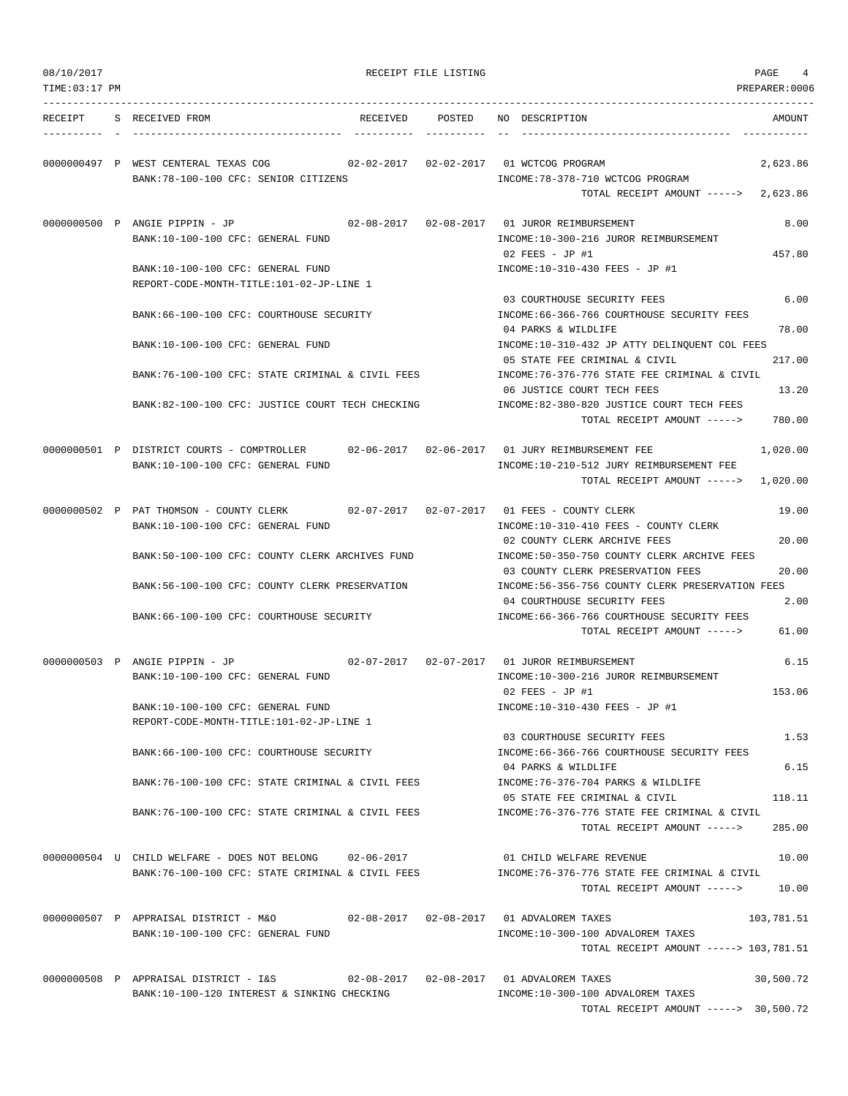| 08/10/2017     |                                                                                                                                 | RECEIPT FILE LISTING | PAGE<br>4                                                                                                                          |
|----------------|---------------------------------------------------------------------------------------------------------------------------------|----------------------|------------------------------------------------------------------------------------------------------------------------------------|
| TIME: 03:17 PM |                                                                                                                                 |                      | PREPARER:0006                                                                                                                      |
| RECEIPT        | S RECEIVED FROM<br>RECEIVED                                                                                                     | POSTED               | NO DESCRIPTION<br>AMOUNT                                                                                                           |
|                | 0000000497 P WEST CENTERAL TEXAS COG<br>02-02-2017  02-02-2017  01 WCTCOG PROGRAM<br>BANK:78-100-100 CFC: SENIOR CITIZENS       |                      | 2,623.86<br>INCOME: 78-378-710 WCTCOG PROGRAM<br>TOTAL RECEIPT AMOUNT -----><br>2,623.86                                           |
|                | 0000000500 P ANGIE PIPPIN - JP<br>BANK:10-100-100 CFC: GENERAL FUND                                                             |                      | 8.00<br>02-08-2017  02-08-2017  01 JUROR REIMBURSEMENT<br>INCOME:10-300-216 JUROR REIMBURSEMENT                                    |
|                | BANK:10-100-100 CFC: GENERAL FUND<br>REPORT-CODE-MONTH-TITLE:101-02-JP-LINE 1                                                   |                      | 457.80<br>$02$ FEES - JP #1<br>INCOME:10-310-430 FEES - JP #1                                                                      |
|                | BANK:66-100-100 CFC: COURTHOUSE SECURITY                                                                                        |                      | 6.00<br>03 COURTHOUSE SECURITY FEES<br>INCOME: 66-366-766 COURTHOUSE SECURITY FEES                                                 |
|                | BANK:10-100-100 CFC: GENERAL FUND                                                                                               |                      | 04 PARKS & WILDLIFE<br>78.00<br>INCOME:10-310-432 JP ATTY DELINQUENT COL FEES                                                      |
|                | BANK:76-100-100 CFC: STATE CRIMINAL & CIVIL FEES                                                                                |                      | 05 STATE FEE CRIMINAL & CIVIL<br>217.00<br>INCOME: 76-376-776 STATE FEE CRIMINAL & CIVIL                                           |
|                | BANK:82-100-100 CFC: JUSTICE COURT TECH CHECKING                                                                                |                      | 06 JUSTICE COURT TECH FEES<br>13.20<br>INCOME:82-380-820 JUSTICE COURT TECH FEES<br>TOTAL RECEIPT AMOUNT -----><br>780.00          |
|                | 0000000501 P DISTRICT COURTS - COMPTROLLER 02-06-2017 02-06-2017 01 JURY REIMBURSEMENT FEE<br>BANK:10-100-100 CFC: GENERAL FUND |                      | 1,020.00<br>INCOME:10-210-512 JURY REIMBURSEMENT FEE<br>TOTAL RECEIPT AMOUNT -----><br>1,020.00                                    |
|                | 0000000502 P PAT THOMSON - COUNTY CLERK<br>BANK:10-100-100 CFC: GENERAL FUND                                                    |                      | 19.00<br>INCOME:10-310-410 FEES - COUNTY CLERK                                                                                     |
|                | BANK:50-100-100 CFC: COUNTY CLERK ARCHIVES FUND                                                                                 |                      | 02 COUNTY CLERK ARCHIVE FEES<br>20.00<br>INCOME:50-350-750 COUNTY CLERK ARCHIVE FEES<br>03 COUNTY CLERK PRESERVATION FEES<br>20.00 |
|                | BANK:56-100-100 CFC: COUNTY CLERK PRESERVATION                                                                                  |                      | INCOME:56-356-756 COUNTY CLERK PRESERVATION FEES<br>04 COURTHOUSE SECURITY FEES<br>2.00                                            |
|                | BANK:66-100-100 CFC: COURTHOUSE SECURITY                                                                                        |                      | INCOME: 66-366-766 COURTHOUSE SECURITY FEES<br>TOTAL RECEIPT AMOUNT -----><br>61.00                                                |
|                | 0000000503 P ANGIE PIPPIN - JP<br>BANK:10-100-100 CFC: GENERAL FUND                                                             |                      | 6.15<br>INCOME:10-300-216 JUROR REIMBURSEMENT                                                                                      |
|                | BANK:10-100-100 CFC: GENERAL FUND<br>REPORT-CODE-MONTH-TITLE:101-02-JP-LINE 1                                                   |                      | 153.06<br>02 FEES - JP #1<br>INCOME:10-310-430 FEES - JP #1                                                                        |
|                | BANK:66-100-100 CFC: COURTHOUSE SECURITY                                                                                        |                      | 03 COURTHOUSE SECURITY FEES<br>1.53<br>INCOME: 66-366-766 COURTHOUSE SECURITY FEES                                                 |
|                | BANK: 76-100-100 CFC: STATE CRIMINAL & CIVIL FEES                                                                               |                      | 6.15<br>04 PARKS & WILDLIFE<br>INCOME: 76-376-704 PARKS & WILDLIFE                                                                 |
|                | BANK:76-100-100 CFC: STATE CRIMINAL & CIVIL FEES                                                                                |                      | 05 STATE FEE CRIMINAL & CIVIL<br>118.11<br>INCOME: 76-376-776 STATE FEE CRIMINAL & CIVIL<br>285.00<br>TOTAL RECEIPT AMOUNT ----->  |
|                | $0000000504$ U CHILD WELFARE - DOES NOT BELONG $02-06-2017$                                                                     |                      | 01 CHILD WELFARE REVENUE<br>10.00                                                                                                  |
|                | BANK:76-100-100 CFC: STATE CRIMINAL & CIVIL FEES                                                                                |                      | INCOME: 76-376-776 STATE FEE CRIMINAL & CIVIL<br>TOTAL RECEIPT AMOUNT -----><br>10.00                                              |
|                | 0000000507 P APPRAISAL DISTRICT - M&O 62-08-2017 02-08-2017 01 ADVALOREM TAXES<br>BANK:10-100-100 CFC: GENERAL FUND             |                      | 103,781.51<br>INCOME:10-300-100 ADVALOREM TAXES                                                                                    |
|                |                                                                                                                                 |                      | TOTAL RECEIPT AMOUNT -----> 103,781.51                                                                                             |
|                | 0000000508 P APPRAISAL DISTRICT - I&S<br>BANK:10-100-120 INTEREST & SINKING CHECKING                                            |                      | 30,500.72<br>INCOME:10-300-100 ADVALOREM TAXES<br>TOTAL RECEIPT AMOUNT -----> 30,500.72                                            |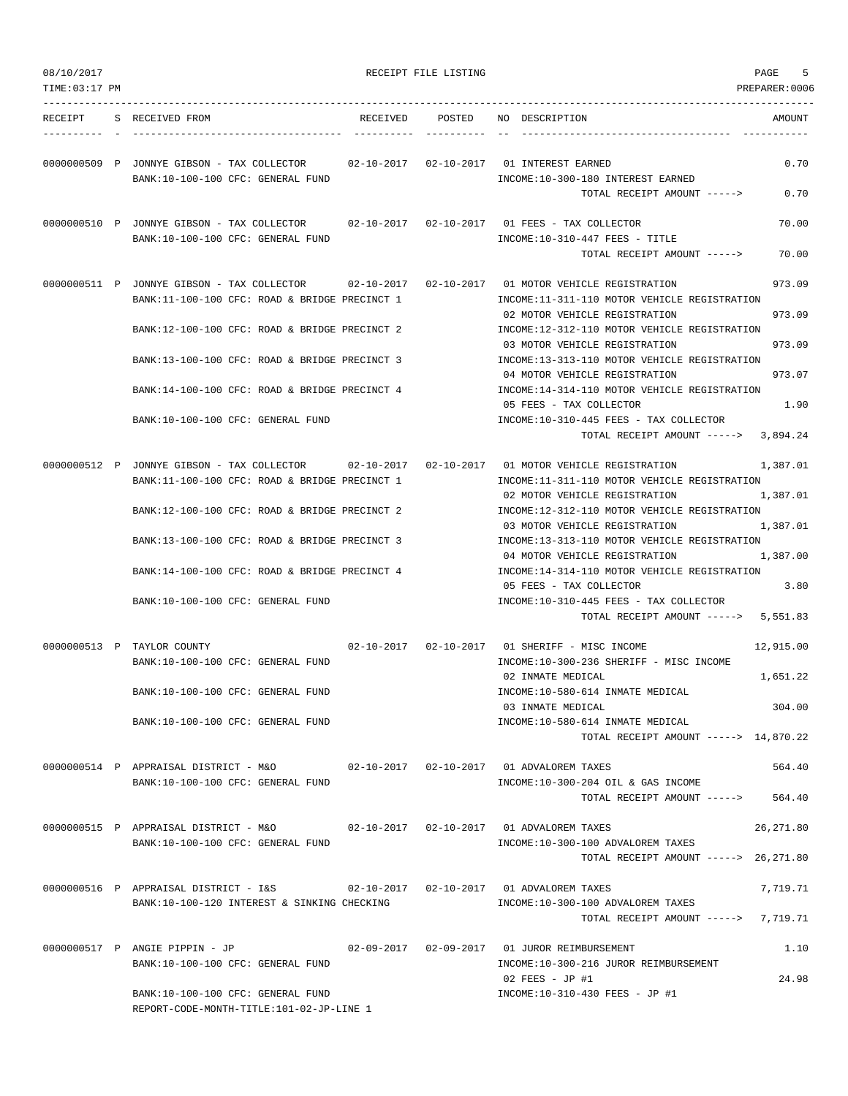| 08/10/2017     |                                                                                                                                                 | RECEIPT FILE LISTING |                                                                                                                                                  | 5<br>PAGE        |
|----------------|-------------------------------------------------------------------------------------------------------------------------------------------------|----------------------|--------------------------------------------------------------------------------------------------------------------------------------------------|------------------|
| TIME: 03:17 PM |                                                                                                                                                 |                      |                                                                                                                                                  | PREPARER: 0006   |
| RECEIPT        | S RECEIVED FROM                                                                                                                                 | RECEIVED POSTED      | NO DESCRIPTION                                                                                                                                   | AMOUNT           |
|                | 0000000509 P JONNYE GIBSON - TAX COLLECTOR 02-10-2017 02-10-2017 01 INTEREST EARNED<br>BANK:10-100-100 CFC: GENERAL FUND                        |                      | INCOME:10-300-180 INTEREST EARNED<br>TOTAL RECEIPT AMOUNT ----->                                                                                 | 0.70<br>0.70     |
|                | 0000000510 P JONNYE GIBSON - TAX COLLECTOR 02-10-2017 02-10-2017 01 FEES - TAX COLLECTOR<br>BANK:10-100-100 CFC: GENERAL FUND                   |                      | $INCOME: 10-310-447$ FEES - TITLE<br>TOTAL RECEIPT AMOUNT ----->                                                                                 | 70.00<br>70.00   |
|                | 0000000511 P JONNYE GIBSON - TAX COLLECTOR 02-10-2017 02-10-2017 01 MOTOR VEHICLE REGISTRATION<br>BANK:11-100-100 CFC: ROAD & BRIDGE PRECINCT 1 |                      | INCOME:11-311-110 MOTOR VEHICLE REGISTRATION<br>02 MOTOR VEHICLE REGISTRATION                                                                    | 973.09<br>973.09 |
|                | BANK:12-100-100 CFC: ROAD & BRIDGE PRECINCT 2                                                                                                   |                      | INCOME:12-312-110 MOTOR VEHICLE REGISTRATION<br>03 MOTOR VEHICLE REGISTRATION                                                                    | 973.09           |
|                | BANK:13-100-100 CFC: ROAD & BRIDGE PRECINCT 3                                                                                                   |                      | INCOME:13-313-110 MOTOR VEHICLE REGISTRATION<br>04 MOTOR VEHICLE REGISTRATION                                                                    | 973.07           |
|                | BANK:14-100-100 CFC: ROAD & BRIDGE PRECINCT 4                                                                                                   |                      | INCOME:14-314-110 MOTOR VEHICLE REGISTRATION<br>05 FEES - TAX COLLECTOR                                                                          | 1.90             |
|                | BANK:10-100-100 CFC: GENERAL FUND                                                                                                               |                      | INCOME:10-310-445 FEES - TAX COLLECTOR<br>TOTAL RECEIPT AMOUNT -----> 3,894.24                                                                   |                  |
|                |                                                                                                                                                 |                      |                                                                                                                                                  |                  |
|                | BANK:11-100-100 CFC: ROAD & BRIDGE PRECINCT 1                                                                                                   |                      | 0000000512 P JONNYE GIBSON - TAX COLLECTOR $02-10-2017$ 02-10-2017 01 MOTOR VEHICLE REGISTRATION<br>INCOME:11-311-110 MOTOR VEHICLE REGISTRATION | 1,387.01         |
|                | BANK:12-100-100 CFC: ROAD & BRIDGE PRECINCT 2                                                                                                   |                      | 02 MOTOR VEHICLE REGISTRATION<br>INCOME:12-312-110 MOTOR VEHICLE REGISTRATION                                                                    | 1,387.01         |
|                | BANK:13-100-100 CFC: ROAD & BRIDGE PRECINCT 3                                                                                                   |                      | 03 MOTOR VEHICLE REGISTRATION<br>INCOME:13-313-110 MOTOR VEHICLE REGISTRATION                                                                    | 1,387.01         |
|                | BANK:14-100-100 CFC: ROAD & BRIDGE PRECINCT 4                                                                                                   |                      | 04 MOTOR VEHICLE REGISTRATION<br>INCOME:14-314-110 MOTOR VEHICLE REGISTRATION<br>05 FEES - TAX COLLECTOR                                         | 1,387.00<br>3.80 |
|                | BANK:10-100-100 CFC: GENERAL FUND                                                                                                               |                      | INCOME:10-310-445 FEES - TAX COLLECTOR<br>TOTAL RECEIPT AMOUNT -----> 5,551.83                                                                   |                  |
|                | 0000000513 P TAYLOR COUNTY                                                                                                                      |                      | 02-10-2017   02-10-2017   01 SHERIFF - MISC INCOME                                                                                               | 12,915.00        |
|                | BANK:10-100-100 CFC: GENERAL FUND                                                                                                               |                      | INCOME:10-300-236 SHERIFF - MISC INCOME<br>02 INMATE MEDICAL                                                                                     | 1,651.22         |
|                | BANK:10-100-100 CFC: GENERAL FUND                                                                                                               |                      | INCOME:10-580-614 INMATE MEDICAL<br>03 INMATE MEDICAL                                                                                            | 304.00           |
|                | BANK:10-100-100 CFC: GENERAL FUND                                                                                                               |                      | INCOME:10-580-614 INMATE MEDICAL<br>TOTAL RECEIPT AMOUNT -----> 14,870.22                                                                        |                  |
|                |                                                                                                                                                 |                      |                                                                                                                                                  | 564.40           |
|                | BANK:10-100-100 CFC: GENERAL FUND                                                                                                               |                      | INCOME:10-300-204 OIL & GAS INCOME<br>TOTAL RECEIPT AMOUNT ----->                                                                                | 564.40           |
|                | 0000000515 P APPRAISAL DISTRICT - M&O<br>BANK:10-100-100 CFC: GENERAL FUND                                                                      |                      | INCOME:10-300-100 ADVALOREM TAXES                                                                                                                | 26,271.80        |
|                |                                                                                                                                                 |                      | TOTAL RECEIPT AMOUNT -----> 26,271.80                                                                                                            |                  |
|                | 0000000516 P APPRAISAL DISTRICT - I&S 602-10-2017 62-10-2017 01 ADVALOREM TAXES<br>BANK:10-100-120 INTEREST & SINKING CHECKING                  |                      | INCOME:10-300-100 ADVALOREM TAXES                                                                                                                | 7,719.71         |
|                |                                                                                                                                                 |                      | TOTAL RECEIPT AMOUNT -----> 7,719.71                                                                                                             |                  |
|                | 0000000517 P ANGIE PIPPIN - JP<br>BANK:10-100-100 CFC: GENERAL FUND                                                                             |                      | 02-09-2017  02-09-2017  01 JUROR REIMBURSEMENT<br>INCOME:10-300-216 JUROR REIMBURSEMENT                                                          | 1.10             |
|                | BANK:10-100-100 CFC: GENERAL FUND<br>REPORT-CODE-MONTH-TITLE:101-02-JP-LINE 1                                                                   |                      | 02 FEES - JP #1<br>INCOME:10-310-430 FEES - JP #1                                                                                                | 24.98            |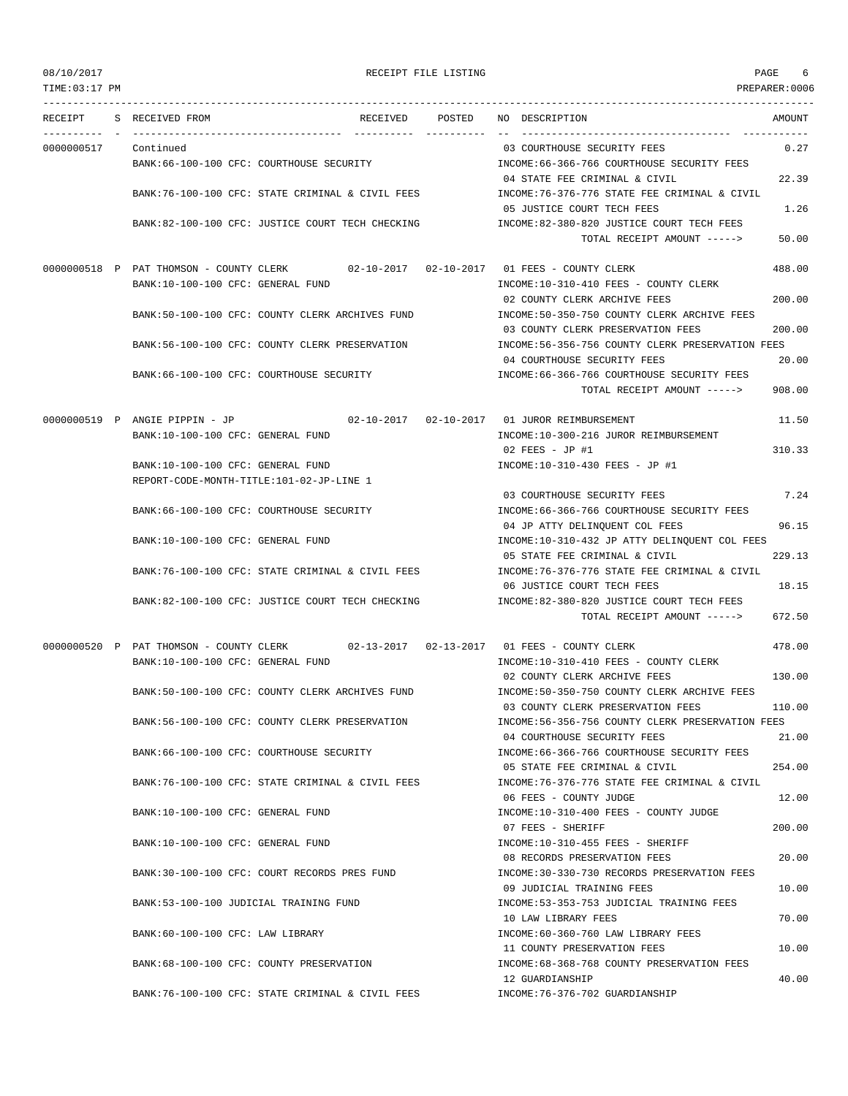TIME:03:17 PM PREPARER:0006

# 08/10/2017 RECEIPT FILE LISTING PAGE 6

--------------------------------------------------------------------------------------------------------------------------------- RECEIPT S RECEIVED FROM RECEIVED POSTED NO DESCRIPTION AMOUNT ---------- - ----------------------------------- ---------- ---------- -- ----------------------------------- ----------- 0000000517 Continued 03 COURTHOUSE SECURITY FEES 0.27 BANK:66-100-100 CFC: COURTHOUSE SECURITY INCOME:66-366-766 COURTHOUSE SECURITY FEES 04 STATE FEE CRIMINAL & CIVIL 22.39 BANK:76-100-100 CFC: STATE CRIMINAL & CIVIL FEES INCOME:76-376-776 STATE FEE CRIMINAL & CIVIL 05 JUSTICE COURT TECH FEES 1.26 BANK:82-100-100 CFC: JUSTICE COURT TECH CHECKING INCOME:82-380-820 JUSTICE COURT TECH FEES TOTAL RECEIPT AMOUNT -----> 50.00 0000000518 P PAT THOMSON - COUNTY CLERK 02-10-2017 02-10-2017 01 FEES - COUNTY CLERK 488.00 BANK:10-100-100 CFC: GENERAL FUND INCOME:10-310-410 FEES - COUNTY CLERK 02 COUNTY CLERK ARCHIVE FEES 200.00 BANK:50-100-100 CFC: COUNTY CLERK ARCHIVES FUND INCOME:50-350-750 COUNTY CLERK ARCHIVE FEES 03 COUNTY CLERK PRESERVATION FEES 200.00 BANK:56-100-100 CFC: COUNTY CLERK PRESERVATION INCOME:56-356-756 COUNTY CLERK PRESERVATION FEES 04 COURTHOUSE SECURITY FEES 20.00 BANK:66-100-100 CFC: COURTHOUSE SECURITY INCOME:66-366-766 COURTHOUSE SECURITY FEES TOTAL RECEIPT AMOUNT -----> 908.00 0000000519 P ANGIE PIPPIN - JP 02-10-2017 02-10-2017 01 JUROR REIMBURSEMENT 11.50 BANK:10-100-100 CFC: GENERAL FUND INCOME:10-300-216 JUROR REIMBURSEMENT 02 FEES - JP #1 310.33 BANK:10-100-100 CFC: GENERAL FUND INCOME:10-310-430 FEES - JP #1 REPORT-CODE-MONTH-TITLE:101-02-JP-LINE 1 03 COURTHOUSE SECURITY FEES 7.24 BANK:66-100-100 CFC: COURTHOUSE SECURITY **INCOME:66-366-766 COURTHOUSE SECURITY FEES** 04 JP ATTY DELINOUENT COL FEES 96.15 BANK:10-100-100 CFC: GENERAL FUND INCOME:10-310-432 JP ATTY DELINQUENT COL FEES 05 STATE FEE CRIMINAL & CIVIL 229.13 BANK:76-100-100 CFC: STATE CRIMINAL & CIVIL FEES INCOME:76-376-776 STATE FEE CRIMINAL & CIVIL 06 JUSTICE COURT TECH FEES 18.15 BANK:82-100-100 CFC: JUSTICE COURT TECH CHECKING INCOME:82-380-820 JUSTICE COURT TECH FEES TOTAL RECEIPT AMOUNT -----> 672.50 0000000520 P PAT THOMSON - COUNTY CLERK 02-13-2017 02-13-2017 01 FEES - COUNTY CLERK 478.00 BANK:10-100-100 CFC: GENERAL FUND INCOME:10-310-410 FEES - COUNTY CLERK 02 COUNTY CLERK ARCHIVE FEES 130.00 BANK:50-100-100 CFC: COUNTY CLERK ARCHIVES FUND INCOME:50-350-750 COUNTY CLERK ARCHIVE FEES 03 COUNTY CLERK PRESERVATION FEES 110.00 BANK:56-100-100 CFC: COUNTY CLERK PRESERVATION INCOME:56-356-756 COUNTY CLERK PRESERVATION FEES 04 COURTHOUSE SECURITY FEES 21.00 BANK:66-100-100 CFC: COURTHOUSE SECURITY INCOME:66-366-766 COURTHOUSE SECURITY FEES 05 STATE FEE CRIMINAL & CIVIL 254.00 BANK:76-100-100 CFC: STATE CRIMINAL & CIVIL FEES INCOME:76-376-776 STATE FEE CRIMINAL & CIVIL 06 FEES - COUNTY JUDGE 12.00 BANK:10-100-100 CFC: GENERAL FUND INCOME:10-310-400 FEES - COUNTY JUDGE 07 FEES - SHERIFF 200.00 BANK:10-100-100 CFC: GENERAL FUND INCOME:10-310-455 FEES - SHERIFF 08 RECORDS PRESERVATION FEES 20.00 BANK:30-100-100 CFC: COURT RECORDS PRES FUND INCOME:30-330-730 RECORDS PRESERVATION FEES 09 JUDICIAL TRAINING FEES 10.00 BANK:53-100-100 JUDICIAL TRAINING FUND INCOME:53-353-753 JUDICIAL TRAINING FEES 10 LAW LIBRARY FEES 70.00 BANK:60-100-100 CFC: LAW LIBRARY INCOME:60-360-760 LAW LIBRARY FEES 11 COUNTY PRESERVATION FEES 10.00 BANK:68-100-100 CFC: COUNTY PRESERVATION INCOME:68-368-768 COUNTY PRESERVATION FEES 12 GUARDIANSHIP 40.00 BANK:76-100-100 CFC: STATE CRIMINAL & CIVIL FEES INCOME:76-376-702 GUARDIANSHIP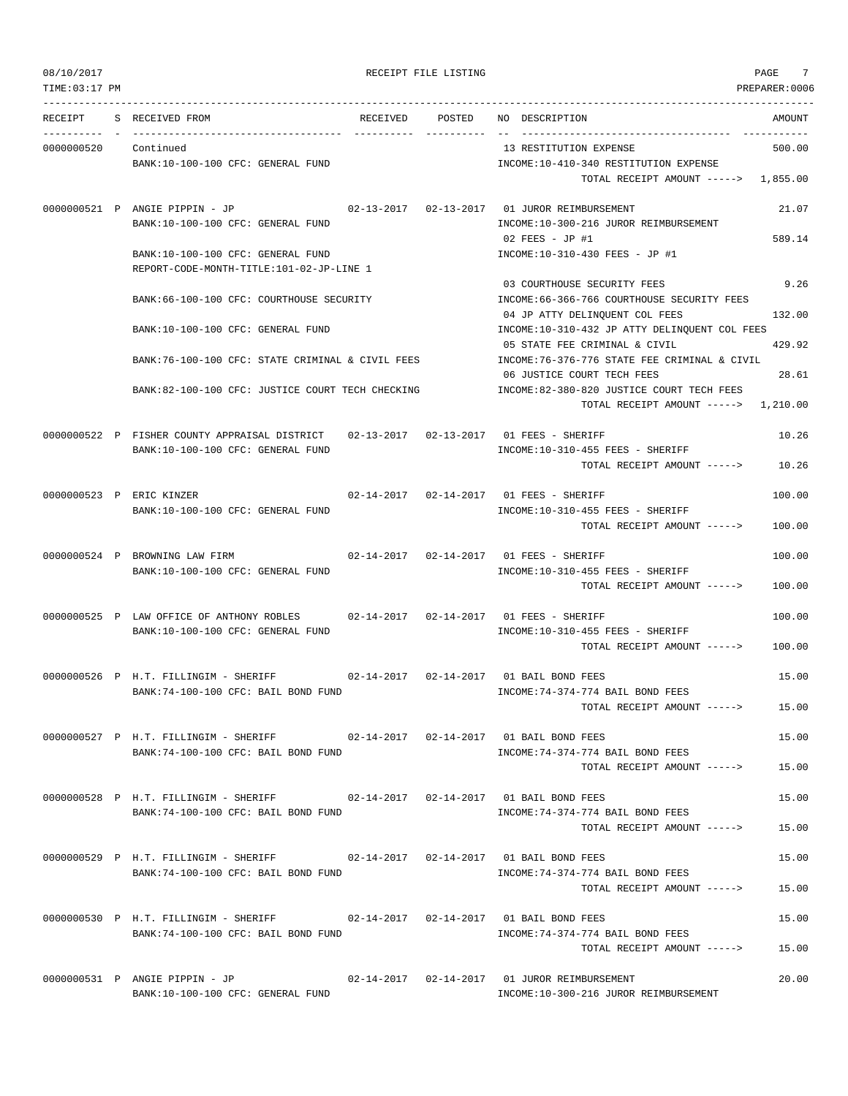TIME:03:17 PM PREPARER:0006 --------------------------------------------------------------------------------------------------------------------------------- RECEIPT S RECEIVED FROM RECEIVED POSTED NO DESCRIPTION AMOUNT ---------- - ----------------------------------- ---------- ---------- -- ----------------------------------- ----------- 0000000520 Continued 13 RESTITUTION EXPENSE 500.00 BANK:10-100-100 CFC: GENERAL FUND INCOME:10-410-340 RESTITUTION EXPENSE TOTAL RECEIPT AMOUNT -----> 1,855.00 0000000521 P ANGIE PIPPIN - JP 02-13-2017 02-13-2017 01 JUROR REIMBURSEMENT 21.07 BANK:10-100-100 CFC: GENERAL FUND SANK:10-300-216 JUROR REIMBURSEMENT 02 FEES - JP #1 589.14 BANK:10-100-100 CFC: GENERAL FUND INCOME:10-310-430 FEES - JP #1 REPORT-CODE-MONTH-TITLE:101-02-JP-LINE 1 03 COURTHOUSE SECURITY FEES 9.26 BANK:66-100-100 CFC: COURTHOUSE SECURITY INCOME:66-366-766 COURTHOUSE SECURITY FEES 04 JP ATTY DELINQUENT COL FEES 132.00 BANK:10-100-100 CFC: GENERAL FUND INCOME:10-310-432 JP ATTY DELINQUENT COL FEES 05 STATE FEE CRIMINAL & CIVIL 429.92 BANK:76-100-100 CFC: STATE CRIMINAL & CIVIL FEES INCOME:76-376-776 STATE FEE CRIMINAL & CIVIL 06 JUSTICE COURT TECH FEES 28.61 BANK:82-100-100 CFC: JUSTICE COURT TECH CHECKING INCOME:82-380-820 JUSTICE COURT TECH FEES TOTAL RECEIPT AMOUNT -----> 1,210.00 0000000522 P FISHER COUNTY APPRAISAL DISTRICT 02-13-2017 02-13-2017 01 FEES - SHERIFF 10.26 BANK:10-100-100 CFC: GENERAL FUND **INCOME:10-310-455 FEES - SHERIFF** TOTAL RECEIPT AMOUNT -----> 10.26 0000000523 P ERIC KINZER 02-14-2017 02-14-2017 01 FEES - SHERIFF 100.00 BANK:10-100-100 CFC: GENERAL FUND **INCOME:10-310-455 FEES - SHERIFF** TOTAL RECEIPT AMOUNT -----> 100.00 0000000524 P BROWNING LAW FIRM 02-14-2017 02-14-2017 01 FEES - SHERIFF 100.00 BANK:10-100-100 CFC: GENERAL FUND **INCOME:10-310-455 FEES - SHERIFF**  $T$ OTAL RECEIPT AMOUNT  $---$ > 100.00 0000000525 P LAW OFFICE OF ANTHONY ROBLES 02-14-2017 02-14-2017 01 FEES - SHERIFF 100.00 BANK:10-100-100 CFC: GENERAL FUND INCOME:10-310-455 FEES - SHERIFF TOTAL RECEIPT AMOUNT -----> 100.00 0000000526 P H.T. FILLINGIM - SHERIFF 02-14-2017 02-14-2017 01 BAIL BOND FEES 15.00 BANK:74-100-100 CFC: BAIL BOND FUND INCOME:74-374-774 BAIL BOND FEES TOTAL RECEIPT AMOUNT -----> 15.00 0000000527 P H.T. FILLINGIM - SHERIFF 02-14-2017 02-14-2017 01 BAIL BOND FEES 15.00 BANK:74-100-100 CFC: BAIL BOND FUND INCOME:74-374-774 BAIL BOND FEES TOTAL RECEIPT AMOUNT -----> 15.00 0000000528 P H.T. FILLINGIM - SHERIFF 02-14-2017 02-14-2017 01 BAIL BOND FEES 15.00 BANK:74-100-100 CFC: BAIL BOND FUND INCOME:74-374-774 BAIL BOND FEES TOTAL RECEIPT AMOUNT -----> 15.00 0000000529 P H.T. FILLINGIM - SHERIFF 02-14-2017 02-14-2017 01 BAIL BOND FEES 15.00 BANK:74-100-100 CFC: BAIL BOND FUND INCOME:74-374-774 BAIL BOND FEES TOTAL RECEIPT AMOUNT -----> 15.00 0000000530 P H.T. FILLINGIM - SHERIFF 02-14-2017 02-14-2017 01 BAIL BOND FEES 15.00 BANK:74-100-100 CFC: BAIL BOND FUND **INCOME:74-374-774 BAIL BOND FEES** TOTAL RECEIPT AMOUNT -----> 15.00 0000000531 P ANGIE PIPPIN - JP 02-14-2017 02-14-2017 01 JUROR REIMBURSEMENT 20.00 BANK:10-100-100 CFC: GENERAL FUND **INCOME:10-300-216 JUROR REIMBURSEMENT**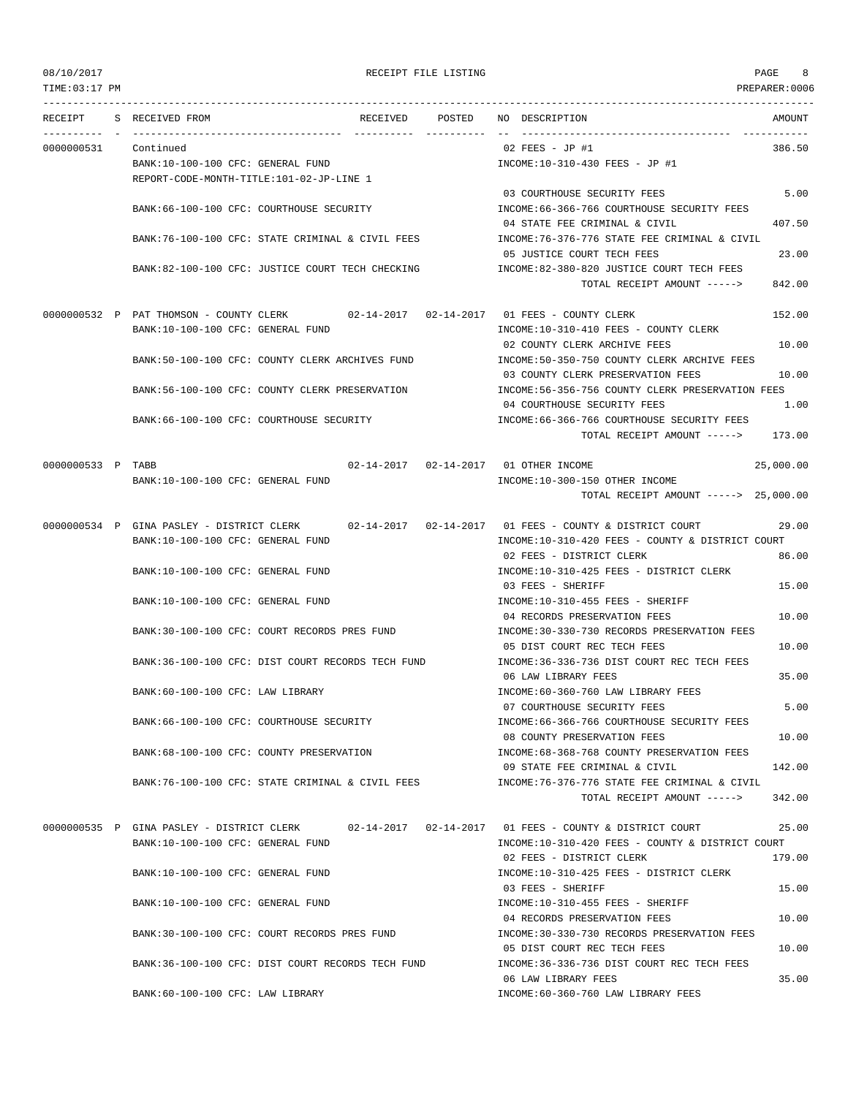| 08/10/2017        |                                                                                      |          | RECEIPT FILE LISTING |                                                                              | PAGE<br>8      |
|-------------------|--------------------------------------------------------------------------------------|----------|----------------------|------------------------------------------------------------------------------|----------------|
| TIME:03:17 PM     |                                                                                      |          |                      |                                                                              | PREPARER: 0006 |
| RECEIPT           | S RECEIVED FROM                                                                      | RECEIVED | POSTED               | NO DESCRIPTION                                                               | AMOUNT         |
| 0000000531        | Continued                                                                            |          |                      | $02$ FEES - JP #1                                                            | 386.50         |
|                   | BANK:10-100-100 CFC: GENERAL FUND                                                    |          |                      | INCOME:10-310-430 FEES - JP #1                                               |                |
|                   | REPORT-CODE-MONTH-TITLE:101-02-JP-LINE 1                                             |          |                      |                                                                              |                |
|                   |                                                                                      |          |                      | 03 COURTHOUSE SECURITY FEES                                                  | 5.00           |
|                   | BANK: 66-100-100 CFC: COURTHOUSE SECURITY                                            |          |                      | INCOME:66-366-766 COURTHOUSE SECURITY FEES                                   |                |
|                   |                                                                                      |          |                      | 04 STATE FEE CRIMINAL & CIVIL                                                | 407.50         |
|                   | BANK: 76-100-100 CFC: STATE CRIMINAL & CIVIL FEES                                    |          |                      | INCOME: 76-376-776 STATE FEE CRIMINAL & CIVIL                                |                |
|                   |                                                                                      |          |                      | 05 JUSTICE COURT TECH FEES                                                   | 23.00          |
|                   | BANK:82-100-100 CFC: JUSTICE COURT TECH CHECKING                                     |          |                      | INCOME:82-380-820 JUSTICE COURT TECH FEES<br>TOTAL RECEIPT AMOUNT ----->     | 842.00         |
|                   |                                                                                      |          |                      |                                                                              |                |
|                   | 0000000532 P PAT THOMSON - COUNTY CLERK 02-14-2017 02-14-2017 01 FEES - COUNTY CLERK |          |                      |                                                                              | 152.00         |
|                   | BANK:10-100-100 CFC: GENERAL FUND                                                    |          |                      | INCOME:10-310-410 FEES - COUNTY CLERK                                        |                |
|                   |                                                                                      |          |                      | 02 COUNTY CLERK ARCHIVE FEES                                                 | 10.00          |
|                   | BANK:50-100-100 CFC: COUNTY CLERK ARCHIVES FUND                                      |          |                      | INCOME: 50-350-750 COUNTY CLERK ARCHIVE FEES                                 |                |
|                   |                                                                                      |          |                      | 03 COUNTY CLERK PRESERVATION FEES                                            | 10.00          |
|                   | BANK:56-100-100 CFC: COUNTY CLERK PRESERVATION                                       |          |                      | INCOME:56-356-756 COUNTY CLERK PRESERVATION FEES                             |                |
|                   |                                                                                      |          |                      | 04 COURTHOUSE SECURITY FEES                                                  | 1.00           |
|                   | BANK:66-100-100 CFC: COURTHOUSE SECURITY                                             |          |                      | INCOME:66-366-766 COURTHOUSE SECURITY FEES                                   |                |
|                   |                                                                                      |          |                      | TOTAL RECEIPT AMOUNT -----> 173.00                                           |                |
| 0000000533 P TABB |                                                                                      |          |                      | 02-14-2017  02-14-2017  01 OTHER INCOME                                      | 25,000.00      |
|                   | BANK:10-100-100 CFC: GENERAL FUND                                                    |          |                      | INCOME:10-300-150 OTHER INCOME                                               |                |
|                   |                                                                                      |          |                      | TOTAL RECEIPT AMOUNT -----> 25,000.00                                        |                |
|                   |                                                                                      |          |                      |                                                                              |                |
|                   | 0000000534 P GINA PASLEY - DISTRICT CLERK                                            |          |                      | 02-14-2017  02-14-2017  01 FEES - COUNTY & DISTRICT COURT                    | 29.00          |
|                   | BANK:10-100-100 CFC: GENERAL FUND                                                    |          |                      | INCOME:10-310-420 FEES - COUNTY & DISTRICT COURT<br>02 FEES - DISTRICT CLERK |                |
|                   | BANK:10-100-100 CFC: GENERAL FUND                                                    |          |                      | INCOME:10-310-425 FEES - DISTRICT CLERK                                      | 86.00          |
|                   |                                                                                      |          |                      | 03 FEES - SHERIFF                                                            | 15.00          |
|                   | BANK:10-100-100 CFC: GENERAL FUND                                                    |          |                      | INCOME:10-310-455 FEES - SHERIFF                                             |                |
|                   |                                                                                      |          |                      | 04 RECORDS PRESERVATION FEES                                                 | 10.00          |
|                   | BANK:30-100-100 CFC: COURT RECORDS PRES FUND                                         |          |                      | INCOME: 30-330-730 RECORDS PRESERVATION FEES                                 |                |
|                   |                                                                                      |          |                      | 05 DIST COURT REC TECH FEES                                                  | 10.00          |
|                   | BANK:36-100-100 CFC: DIST COURT RECORDS TECH FUND                                    |          |                      | INCOME: 36-336-736 DIST COURT REC TECH FEES                                  |                |
|                   |                                                                                      |          |                      | 06 LAW LIBRARY FEES                                                          | 35.00          |
|                   | BANK:60-100-100 CFC: LAW LIBRARY                                                     |          |                      | INCOME:60-360-760 LAW LIBRARY FEES                                           |                |
|                   |                                                                                      |          |                      | 07 COURTHOUSE SECURITY FEES                                                  | 5.00           |
|                   | BANK:66-100-100 CFC: COURTHOUSE SECURITY                                             |          |                      | INCOME:66-366-766 COURTHOUSE SECURITY FEES                                   |                |
|                   | BANK:68-100-100 CFC: COUNTY PRESERVATION                                             |          |                      | 08 COUNTY PRESERVATION FEES<br>INCOME: 68-368-768 COUNTY PRESERVATION FEES   | 10.00          |
|                   |                                                                                      |          |                      | 09 STATE FEE CRIMINAL & CIVIL                                                | 142.00         |
|                   | BANK:76-100-100 CFC: STATE CRIMINAL & CIVIL FEES                                     |          |                      | INCOME: 76-376-776 STATE FEE CRIMINAL & CIVIL                                |                |
|                   |                                                                                      |          |                      | TOTAL RECEIPT AMOUNT ----->                                                  | 342.00         |
|                   |                                                                                      |          |                      |                                                                              |                |
|                   | 0000000535 P GINA PASLEY - DISTRICT CLERK                                            |          |                      | $02-14-2017$ $02-14-2017$ 01 FEES - COUNTY & DISTRICT COURT                  | 25.00          |
|                   | BANK:10-100-100 CFC: GENERAL FUND                                                    |          |                      | INCOME:10-310-420 FEES - COUNTY & DISTRICT COURT                             |                |
|                   |                                                                                      |          |                      | 02 FEES - DISTRICT CLERK                                                     | 179.00         |
|                   | BANK:10-100-100 CFC: GENERAL FUND                                                    |          |                      | INCOME:10-310-425 FEES - DISTRICT CLERK                                      |                |
|                   |                                                                                      |          |                      | 03 FEES - SHERIFF                                                            | 15.00          |
|                   | BANK:10-100-100 CFC: GENERAL FUND                                                    |          |                      | INCOME:10-310-455 FEES - SHERIFF<br>04 RECORDS PRESERVATION FEES             | 10.00          |
|                   | BANK:30-100-100 CFC: COURT RECORDS PRES FUND                                         |          |                      | INCOME:30-330-730 RECORDS PRESERVATION FEES                                  |                |
|                   |                                                                                      |          |                      | 05 DIST COURT REC TECH FEES                                                  | 10.00          |
|                   | BANK:36-100-100 CFC: DIST COURT RECORDS TECH FUND                                    |          |                      | INCOME: 36-336-736 DIST COURT REC TECH FEES                                  |                |
|                   |                                                                                      |          |                      | 06 LAW LIBRARY FEES                                                          | 35.00          |
|                   | BANK:60-100-100 CFC: LAW LIBRARY                                                     |          |                      | INCOME:60-360-760 LAW LIBRARY FEES                                           |                |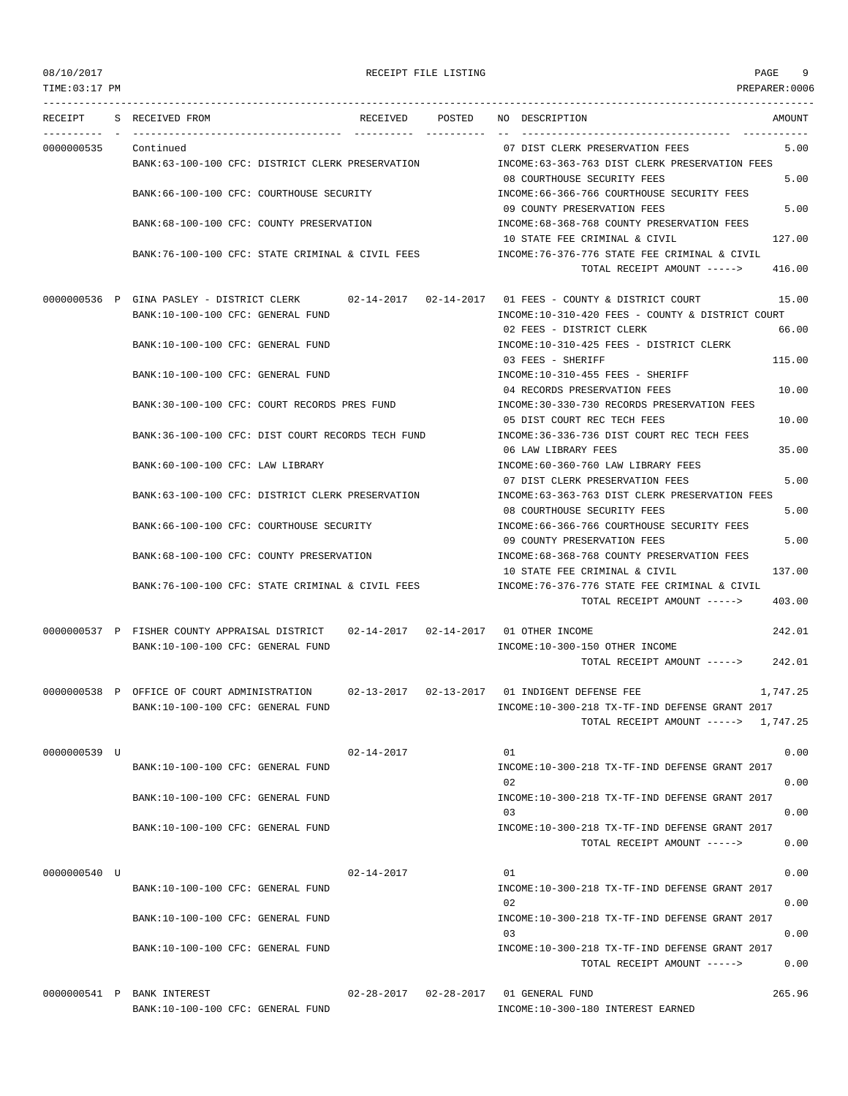TIME:03:17 PM PREPARER:0006 --------------------------------------------------------------------------------------------------------------------------------- RECEIPT S RECEIVED FROM THE RECEIVED POSTED NO DESCRIPTION THE RECEIVED AMOUNT ---------- - ----------------------------------- ---------- ---------- -- ----------------------------------- ----------- 0000000535 Continued 07 DIST CLERK PRESERVATION FEES 5.00 BANK:63-100-100 CFC: DISTRICT CLERK PRESERVATION INCOME:63-363-763 DIST CLERK PRESERVATION FEES 08 COURTHOUSE SECURITY FEES 5.00 BANK:66-100-100 CFC: COURTHOUSE SECURITY INCOME:66-366-766 COURTHOUSE SECURITY FEES 09 COUNTY PRESERVATION FEES 5.00 BANK:68-100-100 CFC: COUNTY PRESERVATION INCOME:68-368-768 COUNTY PRESERVATION FEES 10 STATE FEE CRIMINAL & CIVIL 127.00 BANK:76-100-100 CFC: STATE CRIMINAL & CIVIL FEES INCOME:76-376-776 STATE FEE CRIMINAL & CIVIL TOTAL RECEIPT AMOUNT -----> 416.00 0000000536 P GINA PASLEY - DISTRICT CLERK 02-14-2017 02-14-2017 01 FEES - COUNTY & DISTRICT COURT 15.00 BANK:10-100-100 CFC: GENERAL FUND INCOME:10-310-420 FEES - COUNTY & DISTRICT COURT 02 FEES - DISTRICT CLERK 66.00 BANK:10-100-100 CFC: GENERAL FUND INCOME:10-310-425 FEES - DISTRICT CLERK 03 FEES - SHERIFF 115.00 BANK:10-100-100 CFC: GENERAL FUND INCOME:10-310-455 FEES - SHERIFF 04 RECORDS PRESERVATION FEES 10.00 BANK:30-100-100 CFC: COURT RECORDS PRES FUND INCOME:30-330-730 RECORDS PRESERVATION FEES 05 DIST COURT REC TECH FEES 10.00 BANK:36-100-100 CFC: DIST COURT RECORDS TECH FUND INCOME:36-336-736 DIST COURT REC TECH FEES 06 LAW LIBRARY FEES 35.00 BANK:60-100-100 CFC: LAW LIBRARY INCOME:60-360-760 LAW LIBRARY FEES 07 DIST CLERK PRESERVATION FEES 5.00 BANK:63-100-100 CFC: DISTRICT CLERK PRESERVATION INCOME:63-363-763 DIST CLERK PRESERVATION FEES 08 COURTHOUSE SECURITY FEES 5.00 BANK:66-100-100 CFC: COURTHOUSE SECURITY **INCOME:66-366-766 COURTHOUSE SECURITY FEES** 09 COUNTY PRESERVATION FEES 5.00 BANK:68-100-100 CFC: COUNTY PRESERVATION INCOME:68-368-768 COUNTY PRESERVATION FEES 10 STATE FEE CRIMINAL & CIVIL 137.00 BANK:76-100-100 CFC: STATE CRIMINAL & CIVIL FEES INCOME:76-376-776 STATE FEE CRIMINAL & CIVIL TOTAL RECEIPT AMOUNT -----> 403.00 0000000537 P FISHER COUNTY APPRAISAL DISTRICT 02-14-2017 02-14-2017 01 OTHER INCOME 242.01 BANK:10-100-100 CFC: GENERAL FUND **INCOME:10-300-150 OTHER INCOME** TOTAL RECEIPT AMOUNT -----> 242.01 0000000538 P OFFICE OF COURT ADMINISTRATION 02-13-2017 02-13-2017 01 INDIGENT DEFENSE FEE 1,747.25 BANK:10-100-100 CFC: GENERAL FUND INCOME:10-300-218 TX-TF-IND DEFENSE GRANT 2017 TOTAL RECEIPT AMOUNT -----> 1,747.25  $0000000539$  U  $0.00$ BANK:10-100-100 CFC: GENERAL FUND INCOME:10-300-218 TX-TF-IND DEFENSE GRANT 2017 02 0.00 BANK:10-100-100 CFC: GENERAL FUND INCOME:10-300-218 TX-TF-IND DEFENSE GRANT 2017 03 0.00 BANK:10-100-100 CFC: GENERAL FUND INCOME:10-300-218 TX-TF-IND DEFENSE GRANT 2017 TOTAL RECEIPT AMOUNT -----> 0.00 0000000540 U 02-14-2017 02-14-2017 01 02-14-2017 0000000540 U 0.00 BANK:10-100-100 CFC: GENERAL FUND INCOME:10-300-218 TX-TF-IND DEFENSE GRANT 2017 02 0.00 BANK:10-100-100 CFC: GENERAL FUND INCOME:10-300-218 TX-TF-IND DEFENSE GRANT 2017 03 0.00 BANK:10-100-100 CFC: GENERAL FUND INCOME:10-300-218 TX-TF-IND DEFENSE GRANT 2017 TOTAL RECEIPT AMOUNT -----> 0.00

0000000541 P BANK INTEREST 02-28-2017 02-28-2017 01 GENERAL FUND 265.96 BANK:10-100-100 CFC: GENERAL FUND INCOME:10-300-180 INTEREST EARNED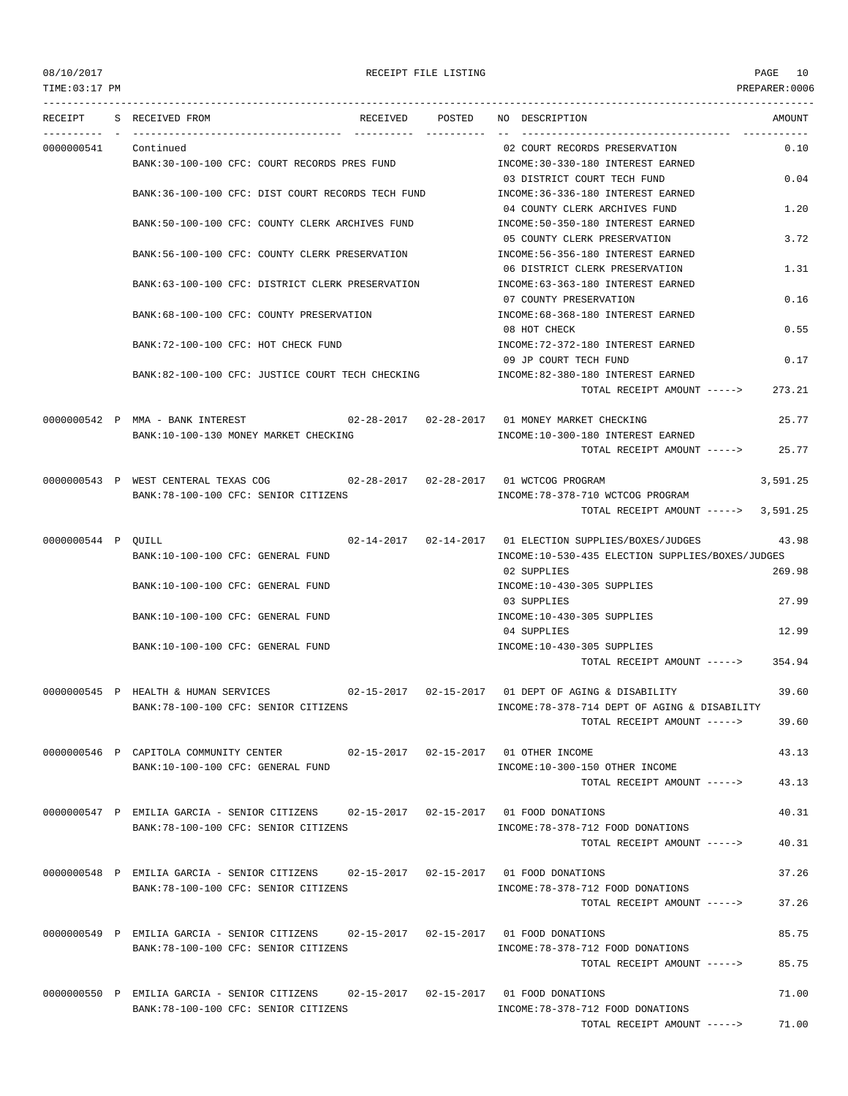TIME:03:17 PM PREPARER:0006

### 08/10/2017 RECEIPT FILE LISTING PAGE 10

--------------------------------------------------------------------------------------------------------------------------------- RECEIPT S RECEIVED FROM THE RECEIVED POSTED NO DESCRIPTION THE RECEIVED AMOUNT ---------- - ----------------------------------- ---------- ---------- -- ----------------------------------- ----------- 0000000541 Continued 02 COURT RECORDS PRESERVATION 0.10 BANK:30-100-100 CFC: COURT RECORDS PRES FUND INCOME:30-330-180 INTEREST EARNED 03 DISTRICT COURT TECH FUND 0.04 BANK:36-100-100 CFC: DIST COURT RECORDS TECH FUND INCOME:36-336-180 INTEREST EARNED 04 COUNTY CLERK ARCHIVES FUND 1.20 BANK:50-100-100 CFC: COUNTY CLERK ARCHIVES FUND INCOME:50-350-180 INTEREST EARNED 05 COUNTY CLERK PRESERVATION 3.72 BANK:56-100-100 CFC: COUNTY CLERK PRESERVATION INCOME:56-356-180 INTEREST EARNED 06 DISTRICT CLERK PRESERVATION 1.31 BANK:63-100-100 CFC: DISTRICT CLERK PRESERVATION INCOME:63-363-180 INTEREST EARNED 07 COUNTY PRESERVATION 0.16 BANK:68-100-100 CFC: COUNTY PRESERVATION INCOME:68-368-180 INTEREST EARNED 08 HOT CHECK 0.55 BANK:72-100-100 CFC: HOT CHECK FUND IN A SUBSECTED THE STATE OF THE STATE RANED 09 JP COURT TECH FUND 0.17 BANK:82-100-100 CFC: JUSTICE COURT TECH CHECKING INCOME:82-380-180 INTEREST EARNED TOTAL RECEIPT AMOUNT -----> 273.21 0000000542 P MMA - BANK INTEREST 02-28-2017 02-28-2017 01 MONEY MARKET CHECKING 25.77 BANK:10-100-130 MONEY MARKET CHECKING **INCOME:10-300-180 INTEREST EARNED** TOTAL RECEIPT AMOUNT -----> 25.77 0000000543 P WEST CENTERAL TEXAS COG 02-28-2017 02-28-2017 01 WCTCOG PROGRAM 3,591.25 BANK:78-100-100 CFC: SENIOR CITIZENS INCOME:78-378-710 WCTCOG PROGRAM TOTAL RECEIPT AMOUNT -----> 3,591.25 0000000544 P QUILL 02-14-2017 02-14-2017 01 ELECTION SUPPLIES/BOXES/JUDGES 43.98 BANK:10-100-100 CFC: GENERAL FUND INCOME:10-530-435 ELECTION SUPPLIES/BOXES/JUDGES 02 SUPPLIES 269.98 BANK:10-100-100 CFC: GENERAL FUND INCOME:10-430-305 SUPPLIES 03 SUPPLIES 27.99 BANK:10-100-100 CFC: GENERAL FUND INCOME:10-430-305 SUPPLIES 04 SUPPLIES 12.99 BANK:10-100-100 CFC: GENERAL FUND INCOME:10-430-305 SUPPLIES TOTAL RECEIPT AMOUNT -----> 354.94 0000000545 P HEALTH & HUMAN SERVICES 02-15-2017 02-15-2017 01 DEPT OF AGING & DISABILITY 39.60 BANK:78-100-100 CFC: SENIOR CITIZENS INCOME:78-378-714 DEPT OF AGING & DISABILITY TOTAL RECEIPT AMOUNT -----> 39.60 0000000546 P CAPITOLA COMMUNITY CENTER 02-15-2017 02-15-2017 01 OTHER INCOME 43.13 BANK:10-100-100 CFC: GENERAL FUND INCOME: 10-300-150 OTHER INCOME TOTAL RECEIPT AMOUNT -----> 43.13 0000000547 P EMILIA GARCIA - SENIOR CITIZENS 02-15-2017 02-15-2017 01 FOOD DONATIONS 40.31 BANK:78-100-100 CFC: SENIOR CITIZENS INCOME:78-378-712 FOOD DONATIONS  $T$ OTAL RECEIPT AMOUNT  $---$  40.31 0000000548 P EMILIA GARCIA - SENIOR CITIZENS 02-15-2017 02-15-2017 01 FOOD DONATIONS 37.26 BANK:78-100-100 CFC: SENIOR CITIZENS INCOME:78-378-712 FOOD DONATIONS TOTAL RECEIPT AMOUNT -----> 37.26 0000000549 P EMILIA GARCIA - SENIOR CITIZENS 02-15-2017 02-15-2017 01 FOOD DONATIONS 85.75 BANK:78-100-100 CFC: SENIOR CITIZENS INCOME:78-378-712 FOOD DONATIONS TOTAL RECEIPT AMOUNT -----> 85.75 0000000550 P EMILIA GARCIA - SENIOR CITIZENS 02-15-2017 02-15-2017 01 FOOD DONATIONS 71.00 BANK:78-100-100 CFC: SENIOR CITIZENS INCOME:78-378-712 FOOD DONATIONS TOTAL RECEIPT AMOUNT -----> 71.00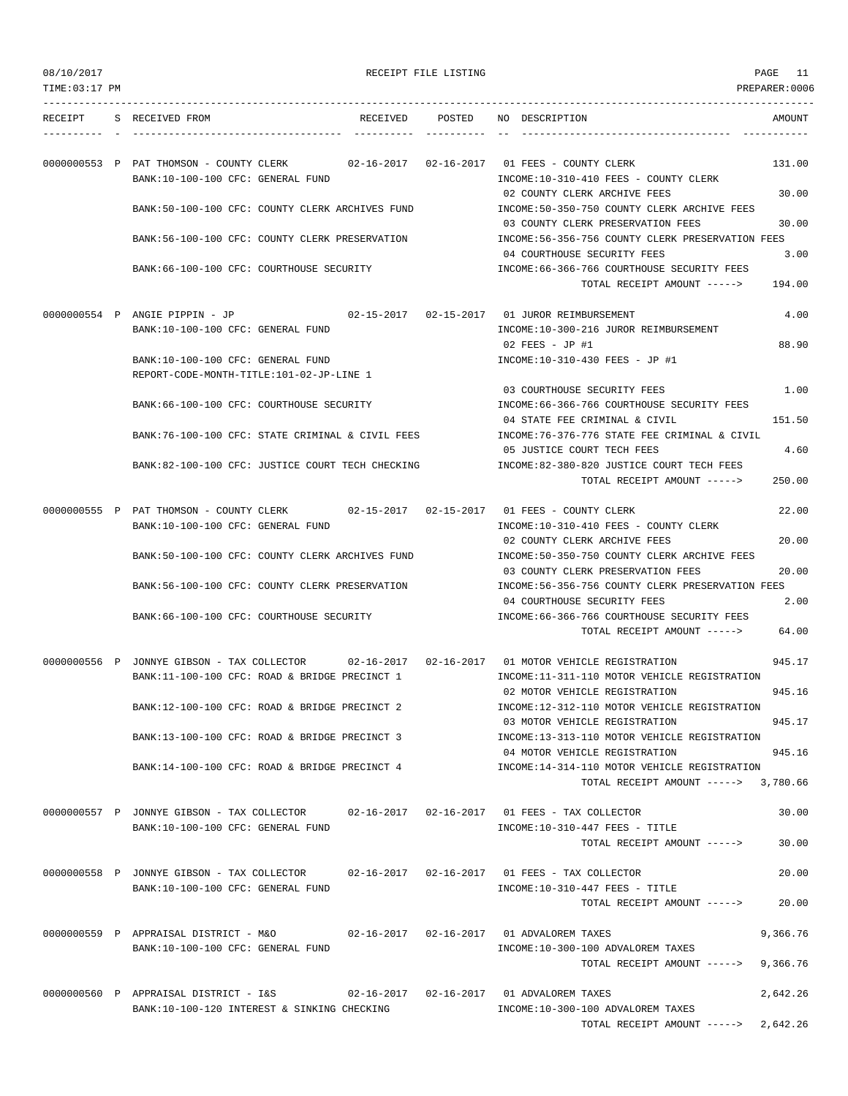| 08/10/2017 |  |  |  |  |
|------------|--|--|--|--|
|------------|--|--|--|--|

| 08/10/2017    |                                                                                                                                                 | RECEIPT FILE LISTING |                                                                                                                                | PAGE<br>11     |
|---------------|-------------------------------------------------------------------------------------------------------------------------------------------------|----------------------|--------------------------------------------------------------------------------------------------------------------------------|----------------|
| TIME:03:17 PM |                                                                                                                                                 |                      |                                                                                                                                | PREPARER: 0006 |
|               | RECEIPT S RECEIVED FROM                                                                                                                         |                      | RECEIVED POSTED NO DESCRIPTION                                                                                                 | AMOUNT         |
|               | 0000000553 P PAT THOMSON - COUNTY CLERK 02-16-2017 02-16-2017 01 FEES - COUNTY CLERK<br>BANK:10-100-100 CFC: GENERAL FUND                       |                      | INCOME:10-310-410 FEES - COUNTY CLERK                                                                                          | 131.00         |
|               | BANK:50-100-100 CFC: COUNTY CLERK ARCHIVES FUND                                                                                                 |                      | 02 COUNTY CLERK ARCHIVE FEES<br>INCOME:50-350-750 COUNTY CLERK ARCHIVE FEES                                                    | 30.00          |
|               | BANK:56-100-100 CFC: COUNTY CLERK PRESERVATION                                                                                                  |                      | 03 COUNTY CLERK PRESERVATION FEES<br>INCOME:56-356-756 COUNTY CLERK PRESERVATION FEES                                          | 30.00          |
|               | BANK:66-100-100 CFC: COURTHOUSE SECURITY                                                                                                        |                      | 04 COURTHOUSE SECURITY FEES<br>INCOME: 66-366-766 COURTHOUSE SECURITY FEES<br>TOTAL RECEIPT AMOUNT ----->                      | 3.00<br>194.00 |
|               | 0000000554 P ANGIE PIPPIN - JP 02-15-2017 02-15-2017 01 JUROR REIMBURSEMENT                                                                     |                      |                                                                                                                                | 4.00           |
|               | BANK:10-100-100 CFC: GENERAL FUND                                                                                                               |                      | INCOME:10-300-216 JUROR REIMBURSEMENT<br>02 FEES - JP #1                                                                       | 88.90          |
|               | BANK:10-100-100 CFC: GENERAL FUND<br>REPORT-CODE-MONTH-TITLE:101-02-JP-LINE 1                                                                   |                      | INCOME:10-310-430 FEES - JP #1                                                                                                 |                |
|               | BANK: 66-100-100 CFC: COURTHOUSE SECURITY                                                                                                       |                      | 03 COURTHOUSE SECURITY FEES<br>INCOME: 66-366-766 COURTHOUSE SECURITY FEES<br>04 STATE FEE CRIMINAL & CIVIL                    | 1.00<br>151.50 |
|               | BANK:76-100-100 CFC: STATE CRIMINAL & CIVIL FEES                                                                                                |                      | INCOME:76-376-776 STATE FEE CRIMINAL & CIVIL<br>05 JUSTICE COURT TECH FEES                                                     | 4.60           |
|               | BANK:82-100-100 CFC: JUSTICE COURT TECH CHECKING                                                                                                |                      | INCOME:82-380-820 JUSTICE COURT TECH FEES<br>TOTAL RECEIPT AMOUNT ----->                                                       | 250.00         |
|               | 0000000555 P PAT THOMSON - COUNTY CLERK 02-15-2017 02-15-2017 01 FEES - COUNTY CLERK                                                            |                      |                                                                                                                                | 22.00          |
|               | BANK:10-100-100 CFC: GENERAL FUND                                                                                                               |                      | INCOME:10-310-410 FEES - COUNTY CLERK<br>02 COUNTY CLERK ARCHIVE FEES                                                          | 20.00          |
|               | BANK:50-100-100 CFC: COUNTY CLERK ARCHIVES FUND                                                                                                 |                      | INCOME:50-350-750 COUNTY CLERK ARCHIVE FEES<br>03 COUNTY CLERK PRESERVATION FEES                                               | 20.00          |
|               | BANK:56-100-100 CFC: COUNTY CLERK PRESERVATION<br>BANK:66-100-100 CFC: COURTHOUSE SECURITY                                                      |                      | INCOME:56-356-756 COUNTY CLERK PRESERVATION FEES<br>04 COURTHOUSE SECURITY FEES<br>INCOME: 66-366-766 COURTHOUSE SECURITY FEES | 2.00           |
|               |                                                                                                                                                 |                      | TOTAL RECEIPT AMOUNT ----->                                                                                                    | 64.00          |
|               | 0000000556 P JONNYE GIBSON - TAX COLLECTOR 02-16-2017 02-16-2017 01 MOTOR VEHICLE REGISTRATION<br>BANK:11-100-100 CFC: ROAD & BRIDGE PRECINCT 1 |                      | INCOME:11-311-110 MOTOR VEHICLE REGISTRATION                                                                                   | 945.17         |
|               | BANK:12-100-100 CFC: ROAD & BRIDGE PRECINCT 2                                                                                                   |                      | 02 MOTOR VEHICLE REGISTRATION<br>INCOME:12-312-110 MOTOR VEHICLE REGISTRATION                                                  | 945.16         |
|               | BANK:13-100-100 CFC: ROAD & BRIDGE PRECINCT 3                                                                                                   |                      | 03 MOTOR VEHICLE REGISTRATION<br>INCOME:13-313-110 MOTOR VEHICLE REGISTRATION                                                  | 945.17         |
|               | BANK:14-100-100 CFC: ROAD & BRIDGE PRECINCT 4                                                                                                   |                      | 04 MOTOR VEHICLE REGISTRATION<br>INCOME:14-314-110 MOTOR VEHICLE REGISTRATION<br>TOTAL RECEIPT AMOUNT -----> 3,780.66          | 945.16         |
|               | 0000000557 P JONNYE GIBSON - TAX COLLECTOR 02-16-2017 02-16-2017 01 FEES - TAX COLLECTOR                                                        |                      |                                                                                                                                | 30.00          |
|               | BANK:10-100-100 CFC: GENERAL FUND                                                                                                               |                      | INCOME:10-310-447 FEES - TITLE<br>TOTAL RECEIPT AMOUNT ----->                                                                  | 30.00          |
|               | 0000000558 P JONNYE GIBSON - TAX COLLECTOR 02-16-2017 02-16-2017 01 FEES - TAX COLLECTOR                                                        |                      |                                                                                                                                | 20.00          |
|               | BANK:10-100-100 CFC: GENERAL FUND                                                                                                               |                      | INCOME:10-310-447 FEES - TITLE<br>TOTAL RECEIPT AMOUNT ----->                                                                  | 20.00          |
|               | 0000000559 P APPRAISAL DISTRICT - M&O<br>BANK:10-100-100 CFC: GENERAL FUND                                                                      |                      | INCOME:10-300-100 ADVALOREM TAXES                                                                                              | 9,366.76       |
|               |                                                                                                                                                 |                      | TOTAL RECEIPT AMOUNT ----->                                                                                                    | 9,366.76       |
|               | 0000000560 P APPRAISAL DISTRICT - I&S<br>BANK:10-100-120 INTEREST & SINKING CHECKING                                                            |                      | INCOME:10-300-100 ADVALOREM TAXES                                                                                              | 2,642.26       |
|               |                                                                                                                                                 |                      | TOTAL RECEIPT AMOUNT -----> 2,642.26                                                                                           |                |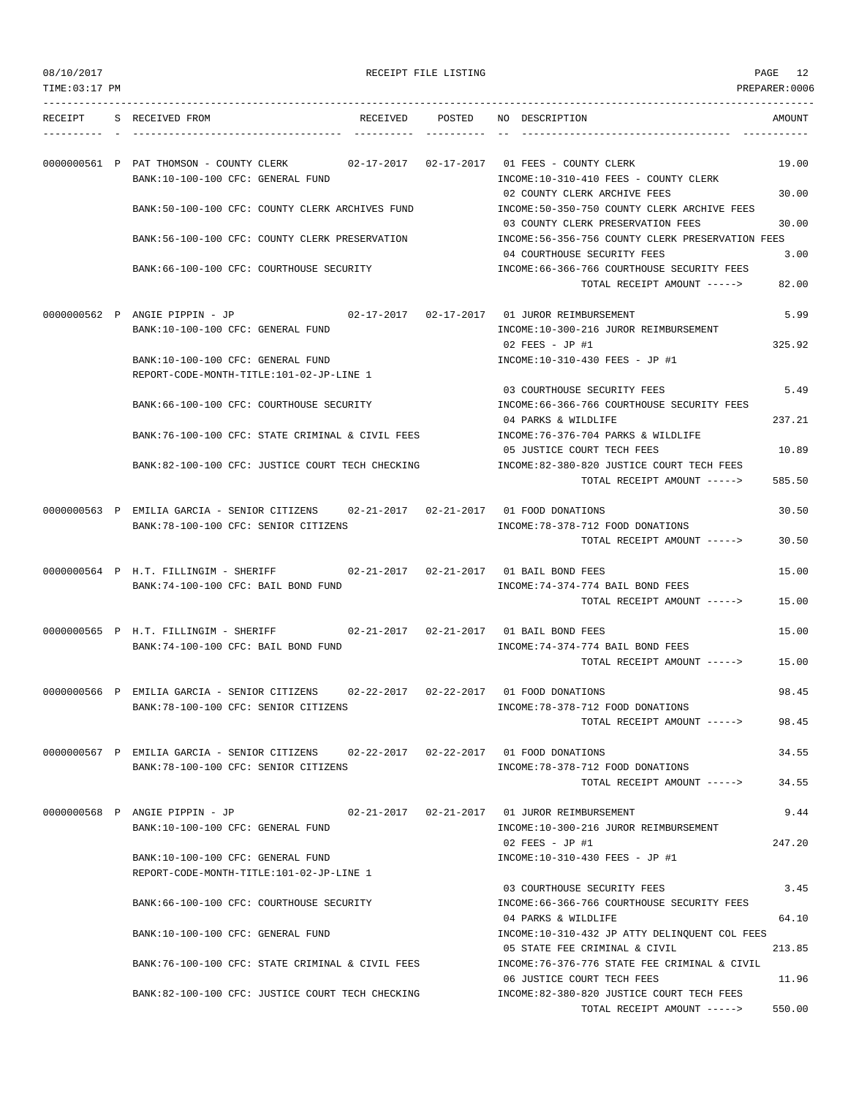|  | 08/10/2017 |  |
|--|------------|--|
|  |            |  |

TOTAL RECEIPT AMOUNT -----> 550.00

| 08/10/2017     |                                                                                                                               | RECEIPT FILE LISTING |                                                                                                                  | PAGE 12         |
|----------------|-------------------------------------------------------------------------------------------------------------------------------|----------------------|------------------------------------------------------------------------------------------------------------------|-----------------|
| TIME: 03:17 PM |                                                                                                                               |                      |                                                                                                                  | PREPARER: 0006  |
|                | RECEIPT S RECEIVED FROM<br>RECEIVED POSTED                                                                                    |                      | NO DESCRIPTION                                                                                                   | AMOUNT          |
|                | 0000000561 P PAT THOMSON - COUNTY CLERK 02-17-2017 02-17-2017 01 FEES - COUNTY CLERK<br>BANK:10-100-100 CFC: GENERAL FUND     |                      | INCOME:10-310-410 FEES - COUNTY CLERK                                                                            | 19.00           |
|                | BANK:50-100-100 CFC: COUNTY CLERK ARCHIVES FUND                                                                               |                      | 02 COUNTY CLERK ARCHIVE FEES<br>INCOME:50-350-750 COUNTY CLERK ARCHIVE FEES<br>03 COUNTY CLERK PRESERVATION FEES | 30.00<br>30.00  |
|                | BANK:56-100-100 CFC: COUNTY CLERK PRESERVATION                                                                                |                      | INCOME:56-356-756 COUNTY CLERK PRESERVATION FEES<br>04 COURTHOUSE SECURITY FEES                                  | 3.00            |
|                | BANK:66-100-100 CFC: COURTHOUSE SECURITY                                                                                      |                      | INCOME: 66-366-766 COURTHOUSE SECURITY FEES<br>TOTAL RECEIPT AMOUNT ----->                                       | 82.00           |
|                | 0000000562 P ANGIE PIPPIN - JP<br>BANK:10-100-100 CFC: GENERAL FUND                                                           |                      | INCOME:10-300-216 JUROR REIMBURSEMENT                                                                            | 5.99            |
|                | BANK:10-100-100 CFC: GENERAL FUND<br>REPORT-CODE-MONTH-TITLE:101-02-JP-LINE 1                                                 |                      | 02 FEES - JP #1<br>INCOME:10-310-430 FEES - JP #1                                                                | 325.92          |
|                | BANK:66-100-100 CFC: COURTHOUSE SECURITY                                                                                      |                      | 03 COURTHOUSE SECURITY FEES<br>INCOME: 66-366-766 COURTHOUSE SECURITY FEES                                       | 5.49            |
|                | BANK:76-100-100 CFC: STATE CRIMINAL & CIVIL FEES                                                                              |                      | 04 PARKS & WILDLIFE<br>INCOME: 76-376-704 PARKS & WILDLIFE<br>05 JUSTICE COURT TECH FEES                         | 237.21<br>10.89 |
|                | BANK:82-100-100 CFC: JUSTICE COURT TECH CHECKING                                                                              |                      | INCOME:82-380-820 JUSTICE COURT TECH FEES<br>TOTAL RECEIPT AMOUNT ----->                                         | 585.50          |
|                | 0000000563 P EMILIA GARCIA - SENIOR CITIZENS 02-21-2017 02-21-2017 01 FOOD DONATIONS<br>BANK:78-100-100 CFC: SENIOR CITIZENS  |                      | INCOME: 78-378-712 FOOD DONATIONS<br>TOTAL RECEIPT AMOUNT ----->                                                 | 30.50<br>30.50  |
|                | 0000000564 P H.T. FILLINGIM - SHERIFF                                                                                         |                      | 02-21-2017   02-21-2017   01 BAIL BOND FEES                                                                      | 15.00           |
|                | BANK:74-100-100 CFC: BAIL BOND FUND                                                                                           |                      | INCOME: 74-374-774 BAIL BOND FEES<br>TOTAL RECEIPT AMOUNT ----->                                                 | 15.00           |
|                | 0000000565 P H.T. FILLINGIM - SHERIFF 02-21-2017 02-21-2017 01 BAIL BOND FEES<br>BANK:74-100-100 CFC: BAIL BOND FUND          |                      | INCOME: 74-374-774 BAIL BOND FEES                                                                                | 15.00           |
|                | 0000000566 P EMILIA GARCIA - SENIOR CITIZENS                                                                                  |                      | TOTAL RECEIPT AMOUNT -----><br>02-22-2017  02-22-2017  01 FOOD DONATIONS                                         | 15.00<br>98.45  |
|                | BANK: 78-100-100 CFC: SENIOR CITIZENS                                                                                         |                      | INCOME: 78-378-712 FOOD DONATIONS<br>TOTAL RECEIPT AMOUNT ----->                                                 | 98.45           |
|                | 0000000567 P EMILIA GARCIA - SENIOR CITIZENS 02-22-2017 02-22-2017 01 FOOD DONATIONS<br>BANK: 78-100-100 CFC: SENIOR CITIZENS |                      | INCOME: 78-378-712 FOOD DONATIONS                                                                                | 34.55           |
|                |                                                                                                                               |                      | TOTAL RECEIPT AMOUNT ----->                                                                                      | 34.55           |
|                | 0000000568 P ANGIE PIPPIN - JP<br>BANK:10-100-100 CFC: GENERAL FUND                                                           |                      | 02-21-2017  02-21-2017  01 JUROR REIMBURSEMENT<br>INCOME:10-300-216 JUROR REIMBURSEMENT                          | 9.44            |
|                | BANK:10-100-100 CFC: GENERAL FUND<br>REPORT-CODE-MONTH-TITLE:101-02-JP-LINE 1                                                 |                      | $02$ FEES - JP #1<br>INCOME:10-310-430 FEES - JP #1                                                              | 247.20          |
|                | BANK:66-100-100 CFC: COURTHOUSE SECURITY                                                                                      |                      | 03 COURTHOUSE SECURITY FEES<br>INCOME: 66-366-766 COURTHOUSE SECURITY FEES                                       | 3.45            |
|                | BANK:10-100-100 CFC: GENERAL FUND                                                                                             |                      | 04 PARKS & WILDLIFE<br>INCOME:10-310-432 JP ATTY DELINQUENT COL FEES<br>05 STATE FEE CRIMINAL & CIVIL            | 64.10<br>213.85 |
|                | BANK:76-100-100 CFC: STATE CRIMINAL & CIVIL FEES                                                                              |                      | INCOME: 76-376-776 STATE FEE CRIMINAL & CIVIL<br>06 JUSTICE COURT TECH FEES                                      | 11.96           |
|                | BANK:82-100-100 CFC: JUSTICE COURT TECH CHECKING                                                                              |                      | INCOME:82-380-820 JUSTICE COURT TECH FEES                                                                        |                 |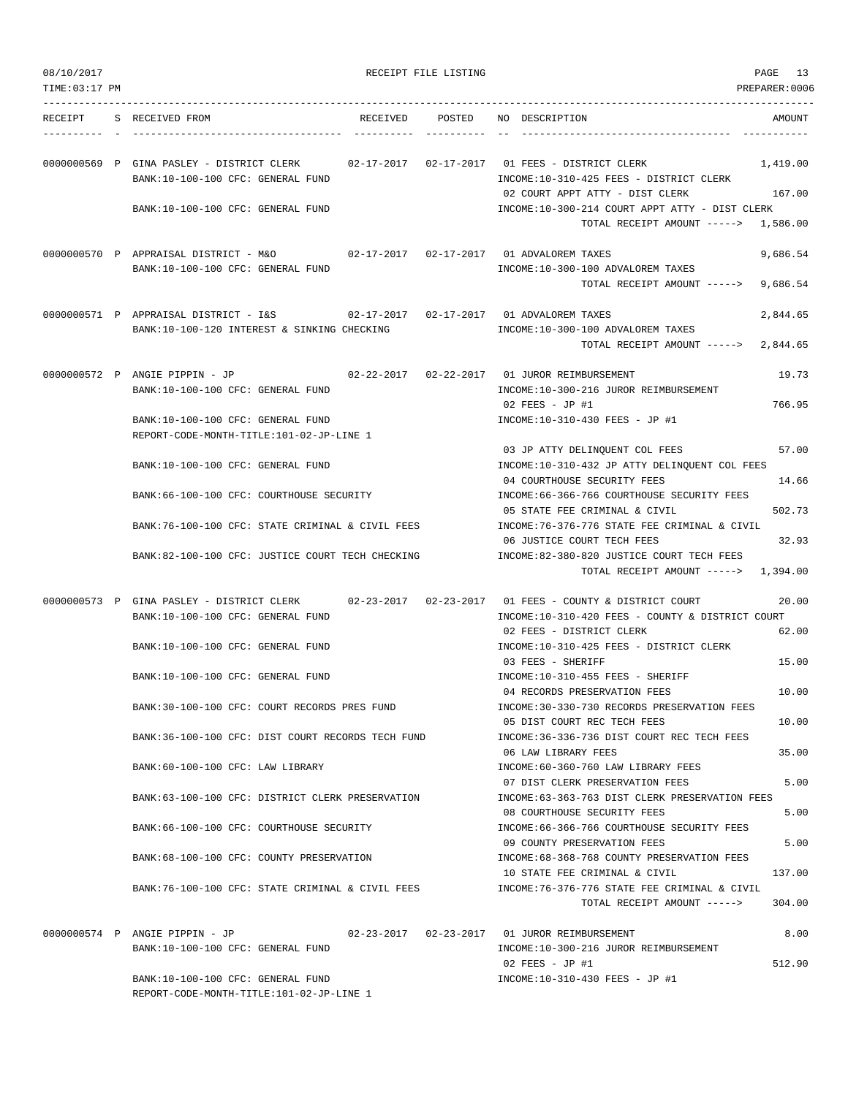| TIME:03:17 PM |                                                                                                                     |                 | PREPARER:0006                                                                                                                                                                                       |      |
|---------------|---------------------------------------------------------------------------------------------------------------------|-----------------|-----------------------------------------------------------------------------------------------------------------------------------------------------------------------------------------------------|------|
| RECEIPT       | S RECEIVED FROM                                                                                                     | RECEIVED POSTED | NO DESCRIPTION<br>AMOUNT                                                                                                                                                                            |      |
|               | 0000000569 P GINA PASLEY - DISTRICT CLERK<br>BANK:10-100-100 CFC: GENERAL FUND                                      |                 | 02-17-2017   02-17-2017   01   FEES - DISTRICT CLERK<br>1,419.00<br>INCOME:10-310-425 FEES - DISTRICT CLERK<br>02 COURT APPT ATTY - DIST CLERK<br>167.00                                            |      |
|               | BANK:10-100-100 CFC: GENERAL FUND                                                                                   |                 | INCOME:10-300-214 COURT APPT ATTY - DIST CLERK<br>TOTAL RECEIPT AMOUNT -----> 1,586.00                                                                                                              |      |
|               | 0000000570 P APPRAISAL DISTRICT - M&O 02-17-2017 02-17-2017 01 ADVALOREM TAXES<br>BANK:10-100-100 CFC: GENERAL FUND |                 | 9,686.54<br>INCOME:10-300-100 ADVALOREM TAXES<br>TOTAL RECEIPT AMOUNT -----><br>9,686.54                                                                                                            |      |
|               | 0000000571 P APPRAISAL DISTRICT - I&S<br>BANK:10-100-120 INTEREST & SINKING CHECKING                                |                 | 2,844.65<br>INCOME:10-300-100 ADVALOREM TAXES<br>TOTAL RECEIPT AMOUNT -----><br>2,844.65                                                                                                            |      |
|               | 0000000572 P ANGIE PIPPIN - JP<br>BANK:10-100-100 CFC: GENERAL FUND<br>BANK:10-100-100 CFC: GENERAL FUND            |                 | 02-22-2017  02-22-2017  01 JUROR REIMBURSEMENT<br>19.73<br>INCOME:10-300-216 JUROR REIMBURSEMENT<br>766.95<br>02 FEES - JP #1<br>INCOME:10-310-430 FEES - JP #1                                     |      |
|               | REPORT-CODE-MONTH-TITLE:101-02-JP-LINE 1<br>BANK:10-100-100 CFC: GENERAL FUND                                       |                 | 57.00<br>03 JP ATTY DELINQUENT COL FEES<br>INCOME:10-310-432 JP ATTY DELINQUENT COL FEES<br>04 COURTHOUSE SECURITY FEES<br>14.66                                                                    |      |
|               | BANK: 66-100-100 CFC: COURTHOUSE SECURITY<br>BANK:76-100-100 CFC: STATE CRIMINAL & CIVIL FEES                       |                 | INCOME: 66-366-766 COURTHOUSE SECURITY FEES<br>502.73<br>05 STATE FEE CRIMINAL & CIVIL<br>INCOME:76-376-776 STATE FEE CRIMINAL & CIVIL                                                              |      |
|               | BANK:82-100-100 CFC: JUSTICE COURT TECH CHECKING                                                                    |                 | 06 JUSTICE COURT TECH FEES<br>32.93<br>INCOME:82-380-820 JUSTICE COURT TECH FEES<br>TOTAL RECEIPT AMOUNT -----> 1,394.00                                                                            |      |
|               | BANK:10-100-100 CFC: GENERAL FUND                                                                                   |                 | 0000000573 P GINA PASLEY - DISTRICT CLERK 02-23-2017 02-23-2017 01 FEES - COUNTY & DISTRICT COURT<br>20.00<br>INCOME:10-310-420 FEES - COUNTY & DISTRICT COURT<br>02 FEES - DISTRICT CLERK<br>62.00 |      |
|               | BANK: 10-100-100 CFC: GENERAL FUND                                                                                  |                 | INCOME:10-310-425 FEES - DISTRICT CLERK<br>15.00<br>03 FEES - SHERIFF                                                                                                                               |      |
|               | BANK:10-100-100 CFC: GENERAL FUND<br>BANK:30-100-100 CFC: COURT RECORDS PRES FUND                                   |                 | INCOME:10-310-455 FEES - SHERIFF<br>04 RECORDS PRESERVATION FEES<br>10.00<br>INCOME: 30-330-730 RECORDS PRESERVATION FEES                                                                           |      |
|               | BANK:36-100-100 CFC: DIST COURT RECORDS TECH FUND                                                                   |                 | 05 DIST COURT REC TECH FEES<br>10.00<br>INCOME: 36-336-736 DIST COURT REC TECH FEES                                                                                                                 |      |
|               | BANK:60-100-100 CFC: LAW LIBRARY                                                                                    |                 | 35.00<br>06 LAW LIBRARY FEES<br>INCOME: 60-360-760 LAW LIBRARY FEES                                                                                                                                 |      |
|               | BANK:63-100-100 CFC: DISTRICT CLERK PRESERVATION                                                                    |                 | 07 DIST CLERK PRESERVATION FEES<br>INCOME:63-363-763 DIST CLERK PRESERVATION FEES<br>5.00<br>08 COURTHOUSE SECURITY FEES                                                                            | 5.00 |
|               | BANK:66-100-100 CFC: COURTHOUSE SECURITY                                                                            |                 | INCOME: 66-366-766 COURTHOUSE SECURITY FEES<br>09 COUNTY PRESERVATION FEES                                                                                                                          | 5.00 |
|               | BANK: 68-100-100 CFC: COUNTY PRESERVATION<br>BANK:76-100-100 CFC: STATE CRIMINAL & CIVIL FEES                       |                 | INCOME: 68-368-768 COUNTY PRESERVATION FEES<br>137.00<br>10 STATE FEE CRIMINAL & CIVIL<br>INCOME: 76-376-776 STATE FEE CRIMINAL & CIVIL<br>TOTAL RECEIPT AMOUNT -----><br>304.00                    |      |
|               | 0000000574 P ANGIE PIPPIN - JP<br>BANK:10-100-100 CFC: GENERAL FUND                                                 |                 | 8.00<br>INCOME:10-300-216 JUROR REIMBURSEMENT                                                                                                                                                       |      |
|               | BANK:10-100-100 CFC: GENERAL FUND<br>REPORT-CODE-MONTH-TITLE:101-02-JP-LINE 1                                       |                 | 02 FEES - JP #1<br>512.90<br>INCOME:10-310-430 FEES - JP #1                                                                                                                                         |      |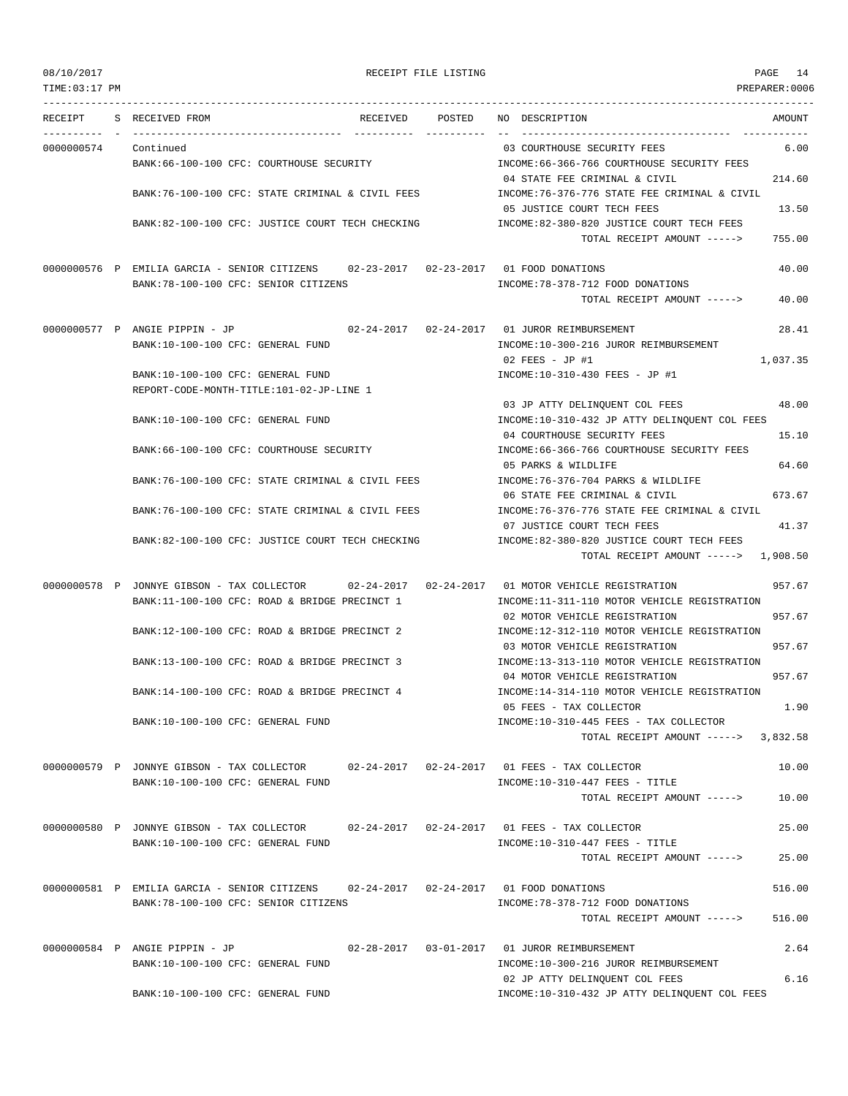| TIME:03:17 PM |                                                                                                                                                 |        | PREPARER:0006                                                                                  |
|---------------|-------------------------------------------------------------------------------------------------------------------------------------------------|--------|------------------------------------------------------------------------------------------------|
| RECEIPT       | S RECEIVED FROM<br>RECEIVED                                                                                                                     | POSTED | NO DESCRIPTION<br>AMOUNT                                                                       |
| 0000000574    | Continued<br>BANK:66-100-100 CFC: COURTHOUSE SECURITY                                                                                           |        | 03 COURTHOUSE SECURITY FEES<br>6.00<br>INCOME: 66-366-766 COURTHOUSE SECURITY FEES             |
|               | BANK:76-100-100 CFC: STATE CRIMINAL & CIVIL FEES                                                                                                |        | 04 STATE FEE CRIMINAL & CIVIL<br>214.60<br>INCOME:76-376-776 STATE FEE CRIMINAL & CIVIL        |
|               | BANK:82-100-100 CFC: JUSTICE COURT TECH CHECKING                                                                                                |        | 05 JUSTICE COURT TECH FEES<br>13.50<br>INCOME: 82-380-820 JUSTICE COURT TECH FEES              |
|               |                                                                                                                                                 |        | 755.00<br>TOTAL RECEIPT AMOUNT ----->                                                          |
|               | 0000000576 P EMILIA GARCIA - SENIOR CITIZENS 02-23-2017 02-23-2017 01 FOOD DONATIONS<br>BANK: 78-100-100 CFC: SENIOR CITIZENS                   |        | 40.00<br>INCOME: 78-378-712 FOOD DONATIONS                                                     |
|               |                                                                                                                                                 |        | TOTAL RECEIPT AMOUNT -----><br>40.00                                                           |
|               | 0000000577 P ANGIE PIPPIN - JP                                                                                                                  |        | 02-24-2017  02-24-2017  01 JUROR REIMBURSEMENT<br>28.41                                        |
|               | BANK:10-100-100 CFC: GENERAL FUND                                                                                                               |        | INCOME:10-300-216 JUROR REIMBURSEMENT                                                          |
|               |                                                                                                                                                 |        | 1,037.35<br>$02$ FEES - JP #1                                                                  |
|               | BANK:10-100-100 CFC: GENERAL FUND                                                                                                               |        | INCOME:10-310-430 FEES - JP #1                                                                 |
|               | REPORT-CODE-MONTH-TITLE:101-02-JP-LINE 1                                                                                                        |        | 48.00<br>03 JP ATTY DELINQUENT COL FEES                                                        |
|               | BANK:10-100-100 CFC: GENERAL FUND                                                                                                               |        | INCOME:10-310-432 JP ATTY DELINQUENT COL FEES                                                  |
|               | BANK:66-100-100 CFC: COURTHOUSE SECURITY                                                                                                        |        | 04 COURTHOUSE SECURITY FEES<br>15.10<br>INCOME: 66-366-766 COURTHOUSE SECURITY FEES            |
|               | BANK:76-100-100 CFC: STATE CRIMINAL & CIVIL FEES                                                                                                |        | 05 PARKS & WILDLIFE<br>64.60<br>INCOME: 76-376-704 PARKS & WILDLIFE                            |
|               | BANK:76-100-100 CFC: STATE CRIMINAL & CIVIL FEES                                                                                                |        | 673.67<br>06 STATE FEE CRIMINAL & CIVIL<br>INCOME:76-376-776 STATE FEE CRIMINAL & CIVIL        |
|               | BANK:82-100-100 CFC: JUSTICE COURT TECH CHECKING                                                                                                |        | 07 JUSTICE COURT TECH FEES<br>41.37<br>INCOME:82-380-820 JUSTICE COURT TECH FEES               |
|               |                                                                                                                                                 |        | TOTAL RECEIPT AMOUNT -----> 1,908.50                                                           |
|               | 0000000578 P JONNYE GIBSON - TAX COLLECTOR 02-24-2017 02-24-2017 01 MOTOR VEHICLE REGISTRATION<br>BANK:11-100-100 CFC: ROAD & BRIDGE PRECINCT 1 |        | 957.67<br>INCOME:11-311-110 MOTOR VEHICLE REGISTRATION                                         |
|               | BANK:12-100-100 CFC: ROAD & BRIDGE PRECINCT 2                                                                                                   |        | 957.67<br>02 MOTOR VEHICLE REGISTRATION<br>INCOME:12-312-110 MOTOR VEHICLE REGISTRATION        |
|               | BANK:13-100-100 CFC: ROAD & BRIDGE PRECINCT 3                                                                                                   |        | 957.67<br>03 MOTOR VEHICLE REGISTRATION<br>INCOME:13-313-110 MOTOR VEHICLE REGISTRATION        |
|               | BANK:14-100-100 CFC: ROAD & BRIDGE PRECINCT 4                                                                                                   |        | 957.67<br>04 MOTOR VEHICLE REGISTRATION<br>INCOME:14-314-110 MOTOR VEHICLE REGISTRATION        |
|               | BANK:10-100-100 CFC: GENERAL FUND                                                                                                               |        | 05 FEES - TAX COLLECTOR<br>1.90<br>INCOME:10-310-445 FEES - TAX COLLECTOR                      |
|               |                                                                                                                                                 |        | 3,832.58<br>TOTAL RECEIPT AMOUNT ----->                                                        |
|               | 0000000579 P JONNYE GIBSON - TAX COLLECTOR<br>BANK:10-100-100 CFC: GENERAL FUND                                                                 |        | 02-24-2017   02-24-2017   01   FEES - TAX COLLECTOR<br>10.00<br>INCOME:10-310-447 FEES - TITLE |
|               |                                                                                                                                                 |        | TOTAL RECEIPT AMOUNT -----><br>10.00                                                           |
|               | 0000000580 P JONNYE GIBSON - TAX COLLECTOR                                                                                                      |        | 02-24-2017  02-24-2017  01 FEES - TAX COLLECTOR<br>25.00                                       |
|               | BANK:10-100-100 CFC: GENERAL FUND                                                                                                               |        | INCOME:10-310-447 FEES - TITLE<br>TOTAL RECEIPT AMOUNT -----><br>25.00                         |
|               | 0000000581 P EMILIA GARCIA - SENIOR CITIZENS                                                                                                    |        | 516.00<br>02-24-2017  02-24-2017  01  FOOD DONATIONS                                           |
|               | BANK:78-100-100 CFC: SENIOR CITIZENS                                                                                                            |        | INCOME: 78-378-712 FOOD DONATIONS<br>TOTAL RECEIPT AMOUNT -----><br>516.00                     |
|               | 0000000584 P ANGIE PIPPIN - JP                                                                                                                  |        | 02-28-2017  03-01-2017  01 JUROR REIMBURSEMENT<br>2.64                                         |
|               | BANK:10-100-100 CFC: GENERAL FUND                                                                                                               |        | INCOME:10-300-216 JUROR REIMBURSEMENT<br>6.16<br>02 JP ATTY DELINQUENT COL FEES                |
|               | BANK:10-100-100 CFC: GENERAL FUND                                                                                                               |        | INCOME:10-310-432 JP ATTY DELINQUENT COL FEES                                                  |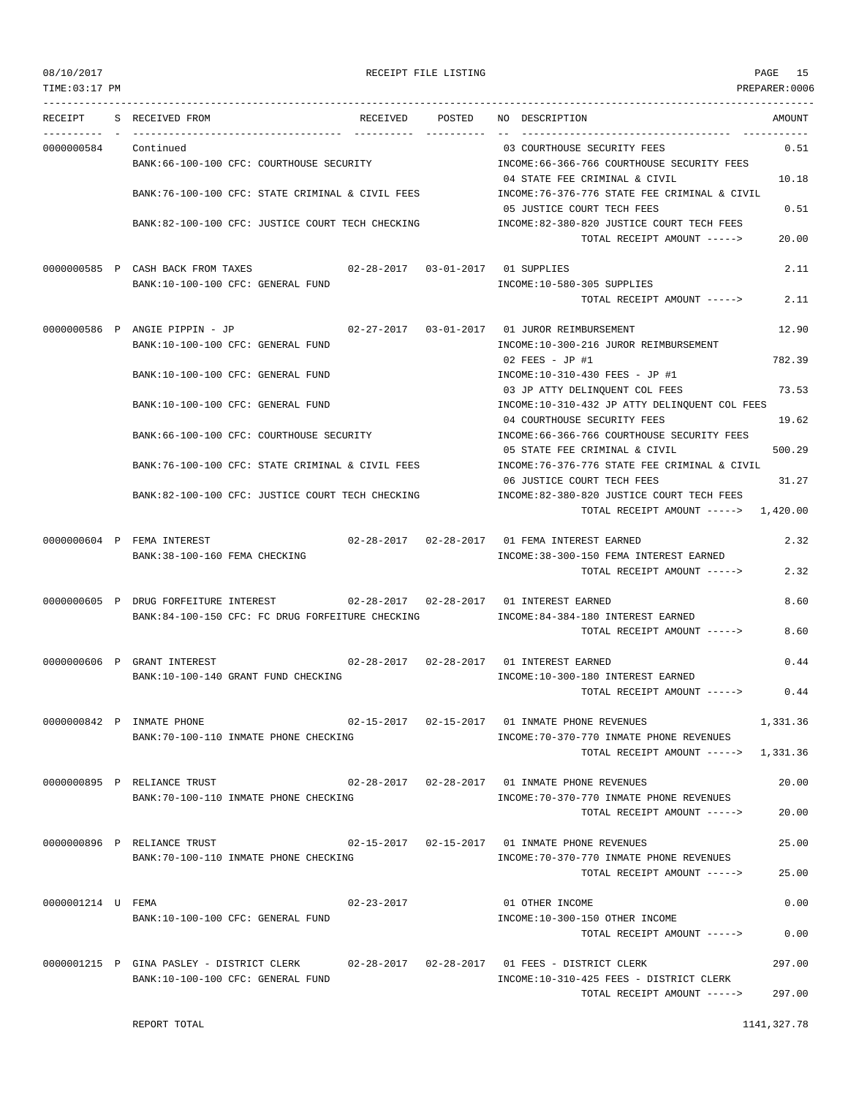TIME:03:17 PM PREPARER:0006 --------------------------------------------------------------------------------------------------------------------------------- RECEIPT S RECEIVED FROM RECEIVED POSTED NO DESCRIPTION AMOUNT ---------- - ----------------------------------- ---------- ---------- -- ----------------------------------- ----------- 0000000584 Continued 03 COURTHOUSE SECURITY FEES 0.51 BANK:66-100-100 CFC: COURTHOUSE SECURITY INCOME:66-366-766 COURTHOUSE SECURITY FEES 04 STATE FEE CRIMINAL & CIVIL 10.18 BANK:76-100-100 CFC: STATE CRIMINAL & CIVIL FEES INCOME:76-376-776 STATE FEE CRIMINAL & CIVIL 05 JUSTICE COURT TECH FEES 0.51 BANK:82-100-100 CFC: JUSTICE COURT TECH CHECKING INCOME:82-380-820 JUSTICE COURT TECH FEES TOTAL RECEIPT AMOUNT -----> 20.00 0000000585 P CASH BACK FROM TAXES 02-28-2017 03-01-2017 01 SUPPLIES 2.11 BANK:10-100-100 CFC: GENERAL FUND INCOME:10-580-305 SUPPLIES TOTAL RECEIPT AMOUNT -----> 2.11 0000000586 P ANGIE PIPPIN - JP 02-27-2017 03-01-2017 01 JUROR REIMBURSEMENT 12.90 BANK:10-100-100 CFC: GENERAL FUND INCOME:10-300-216 JUROR REIMBURSEMENT 02 FEES - JP #1 782.39 BANK:10-100-100 CFC: GENERAL FUND INCOME:10-310-430 FEES - JP #1 03 JP ATTY DELINQUENT COL FEES 73.53 BANK:10-100-100 CFC: GENERAL FUND INCOME:10-310-432 JP ATTY DELINQUENT COL FEES 04 COURTHOUSE SECURITY FEES 19.62 BANK:66-100-100 CFC: COURTHOUSE SECURITY INCOME:66-366-766 COURTHOUSE SECURITY FEES 05 STATE FEE CRIMINAL & CIVIL 500.29 BANK:76-100-100 CFC: STATE CRIMINAL & CIVIL FEES INCOME:76-376-776 STATE FEE CRIMINAL & CIVIL 06 JUSTICE COURT TECH FEES 31.27 BANK:82-100-100 CFC: JUSTICE COURT TECH CHECKING INCOME:82-380-820 JUSTICE COURT TECH FEES TOTAL RECEIPT AMOUNT -----> 1,420.00 0000000604 P FEMA INTEREST 02-28-2017 02-28-2017 01 FEMA INTEREST EARNED 2.32 BANK:38-100-160 FEMA CHECKING INCOME:38-300-150 FEMA INTEREST EARNED TOTAL RECEIPT AMOUNT -----> 2.32 0000000605 P DRUG FORFEITURE INTEREST 02-28-2017 02-28-2017 01 INTEREST EARNED 8.60 BANK:84-100-150 CFC: FC DRUG FORFEITURE CHECKING INCOME:84-384-180 INTEREST EARNED TOTAL RECEIPT AMOUNT -----> 8.60 0000000606 P GRANT INTEREST 02-28-2017 02-28-2017 01 INTEREST EARNED 0.44 BANK:10-100-140 GRANT FUND CHECKING **INCOME:10-300-180 INTEREST EARNED** TOTAL RECEIPT AMOUNT -----> 0.44 0000000842 P INMATE PHONE 02-15-2017 02-15-2017 01 INMATE PHONE REVENUES 1,331.36 BANK:70-100-110 INMATE PHONE CHECKING INCOME:70-370-770 INMATE PHONE REVENUES TOTAL RECEIPT AMOUNT -----> 1,331.36 0000000895 P RELIANCE TRUST 02-28-2017 02-28-2017 01 INMATE PHONE REVENUES 20.00 BANK:70-100-110 INMATE PHONE CHECKING INCOME:70-370-770 INMATE PHONE REVENUES TOTAL RECEIPT AMOUNT -----> 20.00 0000000896 P RELIANCE TRUST 02-15-2017 02-15-2017 01 INMATE PHONE REVENUES 25.00 BANK:70-100-110 INMATE PHONE CHECKING **INCOME:70-370-770 INMATE PHONE REVENUES** TOTAL RECEIPT AMOUNT -----> 25.00 0000001214 U FEMA 02-23-2017 01 OTHER INCOME 0.00 BANK:10-100-100 CFC: GENERAL FUND INCOME:10-300-150 OTHER INCOME TOTAL RECEIPT AMOUNT -----> 0.00 0000001215 P GINA PASLEY - DISTRICT CLERK 02-28-2017 02-28-2017 01 FEES - DISTRICT CLERK 297.00 BANK:10-100-100 CFC: GENERAL FUND **INCOME:10-310-425 FEES - DISTRICT CLERK** 

 $T$ OTAL RECEIPT AMOUNT  $--- 297.00$